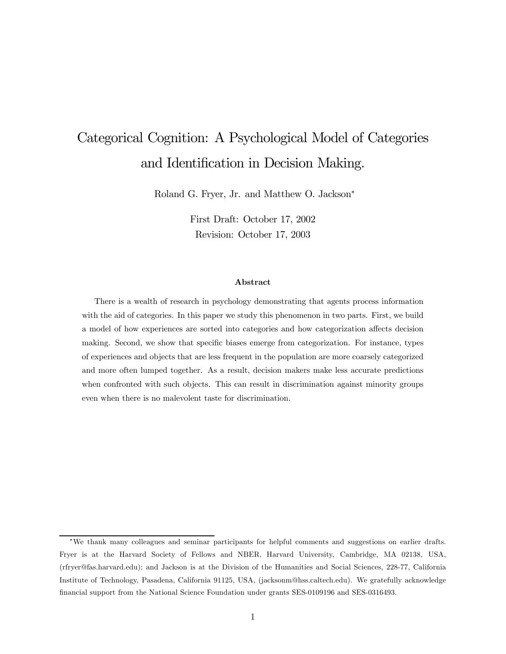# Categorical Cognition: A Psychological Model of Categories and Identification in Decision Making.

Roland G. Fryer, Jr. and Matthew O. Jackson<sup>∗</sup>

First Draft: October 17, 2002 Revision: October 17, 2003

#### Abstract

There is a wealth of research in psychology demonstrating that agents process information with the aid of categories. In this paper we study this phenomenon in two parts. First, we build a model of how experiences are sorted into categories and how categorization affects decision making. Second, we show that specific biases emerge from categorization. For instance, types of experiences and objects that are less frequent in the population are more coarsely categorized and more often lumped together. As a result, decision makers make less accurate predictions when confronted with such objects. This can result in discrimination against minority groups even when there is no malevolent taste for discrimination.

<sup>∗</sup>We thank many colleagues and seminar participants for helpful comments and suggestions on earlier drafts. Fryer is at the Harvard Society of Fellows and NBER, Harvard University, Cambridge, MA 02138, USA, (rfryer@fas.harvard.edu); and Jackson is at the Division of the Humanities and Social Sciences, 228-77, California Institute of Technology, Pasadena, California 91125, USA, (jacksonm@hss.caltech.edu). We gratefully acknowledge financial support from the National Science Foundation under grants SES-0109196 and SES-0316493.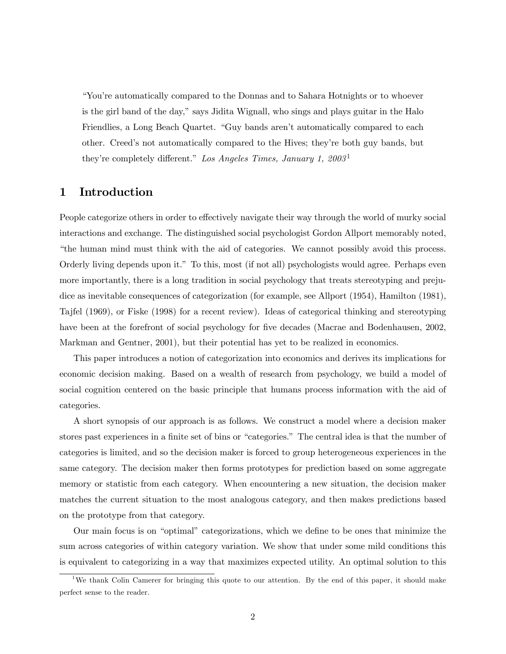"You're automatically compared to the Donnas and to Sahara Hotnights or to whoever is the girl band of the day," says Jidita Wignall, who sings and plays guitar in the Halo Friendlies, a Long Beach Quartet. "Guy bands aren't automatically compared to each other. Creed's not automatically compared to the Hives; they're both guy bands, but they're completely different." Los Angeles Times, January 1,  $2003<sup>1</sup>$ 

# 1 Introduction

People categorize others in order to effectively navigate their way through the world of murky social interactions and exchange. The distinguished social psychologist Gordon Allport memorably noted, "the human mind must think with the aid of categories. We cannot possibly avoid this process. Orderly living depends upon it." To this, most (if not all) psychologists would agree. Perhaps even more importantly, there is a long tradition in social psychology that treats stereotyping and prejudice as inevitable consequences of categorization (for example, see Allport (1954), Hamilton (1981), Tajfel (1969), or Fiske (1998) for a recent review). Ideas of categorical thinking and stereotyping have been at the forefront of social psychology for five decades (Macrae and Bodenhausen, 2002, Markman and Gentner, 2001), but their potential has yet to be realized in economics.

This paper introduces a notion of categorization into economics and derives its implications for economic decision making. Based on a wealth of research from psychology, we build a model of social cognition centered on the basic principle that humans process information with the aid of categories.

A short synopsis of our approach is as follows. We construct a model where a decision maker stores past experiences in a finite set of bins or "categories." The central idea is that the number of categories is limited, and so the decision maker is forced to group heterogeneous experiences in the same category. The decision maker then forms prototypes for prediction based on some aggregate memory or statistic from each category. When encountering a new situation, the decision maker matches the current situation to the most analogous category, and then makes predictions based on the prototype from that category.

Our main focus is on "optimal" categorizations, which we define to be ones that minimize the sum across categories of within category variation. We show that under some mild conditions this is equivalent to categorizing in a way that maximizes expected utility. An optimal solution to this

<sup>&</sup>lt;sup>1</sup>We thank Colin Camerer for bringing this quote to our attention. By the end of this paper, it should make perfect sense to the reader.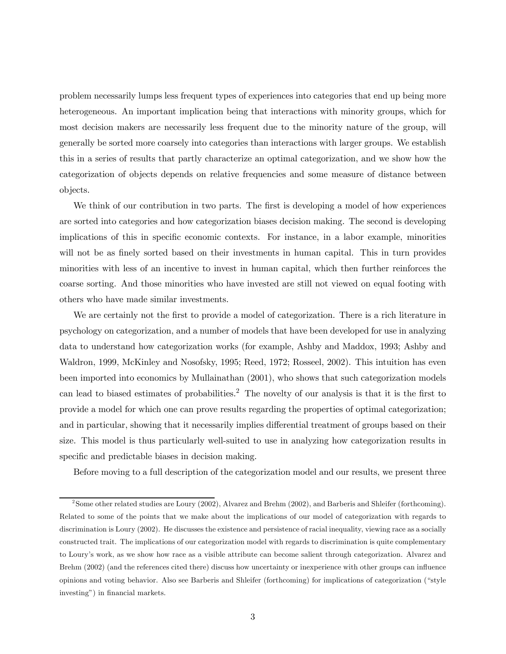problem necessarily lumps less frequent types of experiences into categories that end up being more heterogeneous. An important implication being that interactions with minority groups, which for most decision makers are necessarily less frequent due to the minority nature of the group, will generally be sorted more coarsely into categories than interactions with larger groups. We establish this in a series of results that partly characterize an optimal categorization, and we show how the categorization of objects depends on relative frequencies and some measure of distance between objects.

We think of our contribution in two parts. The first is developing a model of how experiences are sorted into categories and how categorization biases decision making. The second is developing implications of this in specific economic contexts. For instance, in a labor example, minorities will not be as finely sorted based on their investments in human capital. This in turn provides minorities with less of an incentive to invest in human capital, which then further reinforces the coarse sorting. And those minorities who have invested are still not viewed on equal footing with others who have made similar investments.

We are certainly not the first to provide a model of categorization. There is a rich literature in psychology on categorization, and a number of models that have been developed for use in analyzing data to understand how categorization works (for example, Ashby and Maddox, 1993; Ashby and Waldron, 1999, McKinley and Nosofsky, 1995; Reed, 1972; Rosseel, 2002). This intuition has even been imported into economics by Mullainathan (2001), who shows that such categorization models can lead to biased estimates of probabilities.<sup>2</sup> The novelty of our analysis is that it is the first to provide a model for which one can prove results regarding the properties of optimal categorization; and in particular, showing that it necessarily implies differential treatment of groups based on their size. This model is thus particularly well-suited to use in analyzing how categorization results in specific and predictable biases in decision making.

Before moving to a full description of the categorization model and our results, we present three

<sup>&</sup>lt;sup>2</sup>Some other related studies are Loury (2002), Alvarez and Brehm (2002), and Barberis and Shleifer (forthcoming). Related to some of the points that we make about the implications of our model of categorization with regards to discrimination is Loury (2002). He discusses the existence and persistence of racial inequality, viewing race as a socially constructed trait. The implications of our categorization model with regards to discrimination is quite complementary to Loury's work, as we show how race as a visible attribute can become salient through categorization. Alvarez and Brehm (2002) (and the references cited there) discuss how uncertainty or inexperience with other groups can influence opinions and voting behavior. Also see Barberis and Shleifer (forthcoming) for implications of categorization ("style investing") in financial markets.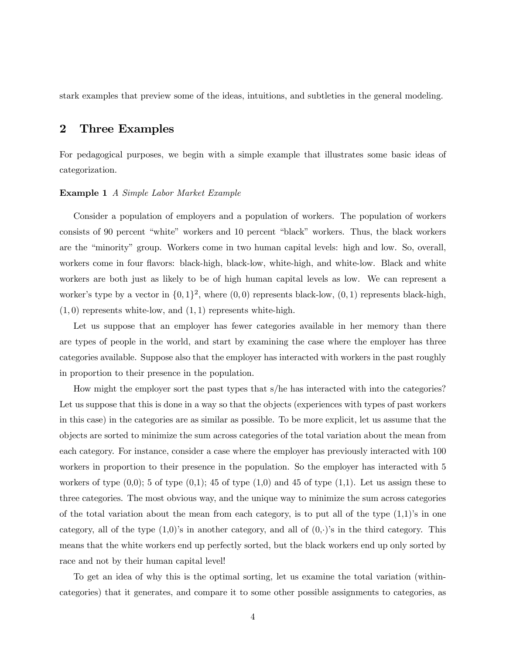stark examples that preview some of the ideas, intuitions, and subtleties in the general modeling.

## 2 Three Examples

For pedagogical purposes, we begin with a simple example that illustrates some basic ideas of categorization.

#### Example 1 A Simple Labor Market Example

Consider a population of employers and a population of workers. The population of workers consists of 90 percent "white" workers and 10 percent "black" workers. Thus, the black workers are the "minority" group. Workers come in two human capital levels: high and low. So, overall, workers come in four flavors: black-high, black-low, white-high, and white-low. Black and white workers are both just as likely to be of high human capital levels as low. We can represent a worker's type by a vector in  $\{0, 1\}^2$ , where  $(0, 0)$  represents black-low,  $(0, 1)$  represents black-high,  $(1,0)$  represents white-low, and  $(1,1)$  represents white-high.

Let us suppose that an employer has fewer categories available in her memory than there are types of people in the world, and start by examining the case where the employer has three categories available. Suppose also that the employer has interacted with workers in the past roughly in proportion to their presence in the population.

How might the employer sort the past types that s/he has interacted with into the categories? Let us suppose that this is done in a way so that the objects (experiences with types of past workers in this case) in the categories are as similar as possible. To be more explicit, let us assume that the objects are sorted to minimize the sum across categories of the total variation about the mean from each category. For instance, consider a case where the employer has previously interacted with 100 workers in proportion to their presence in the population. So the employer has interacted with 5 workers of type  $(0,0)$ ; 5 of type  $(0,1)$ ; 45 of type  $(1,0)$  and 45 of type  $(1,1)$ . Let us assign these to three categories. The most obvious way, and the unique way to minimize the sum across categories of the total variation about the mean from each category, is to put all of the type  $(1,1)$ 's in one category, all of the type  $(1,0)$ 's in another category, and all of  $(0,\cdot)$ 's in the third category. This means that the white workers end up perfectly sorted, but the black workers end up only sorted by race and not by their human capital level!

To get an idea of why this is the optimal sorting, let us examine the total variation (withincategories) that it generates, and compare it to some other possible assignments to categories, as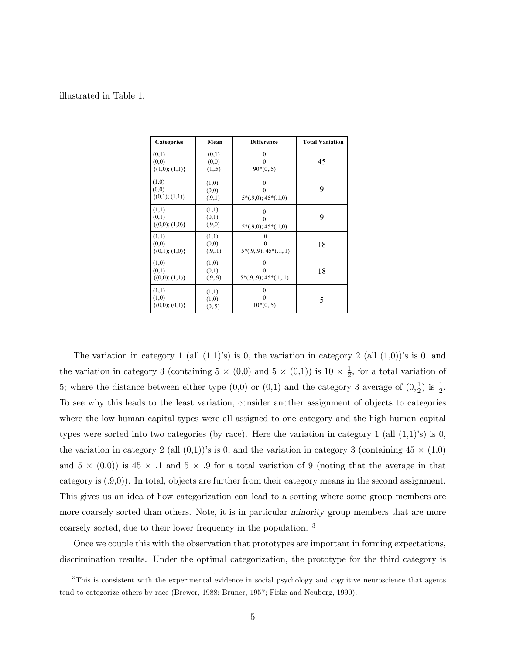#### illustrated in Table 1.

| <b>Categories</b>   | Mean     | <b>Difference</b>         | <b>Total Variation</b> |
|---------------------|----------|---------------------------|------------------------|
| (0,1)               | (0,1)    | 0                         | 45                     |
| (0,0)               | (0,0)    | $\mathbf{0}$              |                        |
| $\{(1,0); (1,1)\}\$ | (1, .5)  | $90*(0, .5)$              |                        |
| (1,0)               | (1,0)    | $\theta$                  | 9                      |
| (0,0)               | (0,0)    | $\theta$                  |                        |
| $\{(0,1); (1,1)\}\$ | (.9,1)   | $5*(.9,0); 45*(.1,0)$     |                        |
| (1,1)               | (1,1)    | $\theta$                  | 9                      |
| (0,1)               | (0,1)    | $\theta$                  |                        |
| $\{(0,0); (1,0)\}\$ | (.9,0)   | $5*(.9,0); 45*(.1,0)$     |                        |
| (1,1)               | (1,1)    | $\Omega$                  | 18                     |
| (0,0)               | (0,0)    | $\theta$                  |                        |
| $\{(0,1); (1,0)\}\$ | (.9, 1)  | $5*(.9, .9); 45*(.1, .1)$ |                        |
| (1,0)               | (1,0)    | $\Omega$                  | 18                     |
| (0,1)               | (0,1)    | 0                         |                        |
| $\{(0,0); (1,1)\}\$ | (.9, .9) | $5*(.9, 9); 45*(.1, 1)$   |                        |
| (1,1)               | (1,1)    | $\theta$                  | 5                      |
| (1,0)               | (1,0)    | 0                         |                        |
| $\{(0,0);(0,1)\}\$  | (0, .5)  | $10*(0, 5)$               |                        |

The variation in category 1 (all  $(1,1)'s$ ) is 0, the variation in category 2 (all  $(1,0)'s$  is 0, and the variation in category 3 (containing  $5 \times (0,0)$  and  $5 \times (0,1)$ ) is  $10 \times \frac{1}{2}$ , for a total variation of 5; where the distance between either type  $(0,0)$  or  $(0,1)$  and the category 3 average of  $(0,\frac{1}{2})$  is  $\frac{1}{2}$ . To see why this leads to the least variation, consider another assignment of objects to categories where the low human capital types were all assigned to one category and the high human capital types were sorted into two categories (by race). Here the variation in category 1 (all  $(1,1)$ 's) is 0, the variation in category 2 (all  $(0,1)$ )'s is 0, and the variation in category 3 (containing  $45 \times (1,0)$ ) and  $5 \times (0,0)$  is  $45 \times .1$  and  $5 \times .9$  for a total variation of 9 (noting that the average in that category is (.9,0)). In total, objects are further from their category means in the second assignment. This gives us an idea of how categorization can lead to a sorting where some group members are more coarsely sorted than others. Note, it is in particular minority group members that are more coarsely sorted, due to their lower frequency in the population. <sup>3</sup>

Once we couple this with the observation that prototypes are important in forming expectations, discrimination results. Under the optimal categorization, the prototype for the third category is

<sup>&</sup>lt;sup>3</sup>This is consistent with the experimental evidence in social psychology and cognitive neuroscience that agents tend to categorize others by race (Brewer, 1988; Bruner, 1957; Fiske and Neuberg, 1990).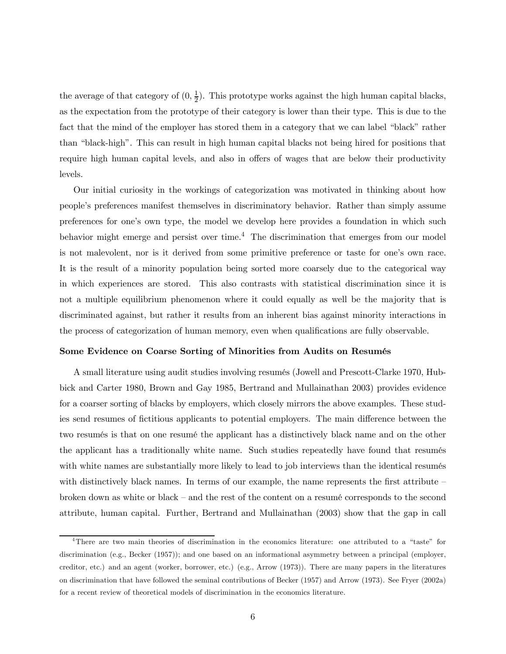the average of that category of  $(0, \frac{1}{2})$ . This prototype works against the high human capital blacks, as the expectation from the prototype of their category is lower than their type. This is due to the fact that the mind of the employer has stored them in a category that we can label "black" rather than "black-high". This can result in high human capital blacks not being hired for positions that require high human capital levels, and also in offers of wages that are below their productivity levels.

Our initial curiosity in the workings of categorization was motivated in thinking about how people's preferences manifest themselves in discriminatory behavior. Rather than simply assume preferences for one's own type, the model we develop here provides a foundation in which such behavior might emerge and persist over time.<sup>4</sup> The discrimination that emerges from our model is not malevolent, nor is it derived from some primitive preference or taste for one's own race. It is the result of a minority population being sorted more coarsely due to the categorical way in which experiences are stored. This also contrasts with statistical discrimination since it is not a multiple equilibrium phenomenon where it could equally as well be the majority that is discriminated against, but rather it results from an inherent bias against minority interactions in the process of categorization of human memory, even when qualifications are fully observable.

#### Some Evidence on Coarse Sorting of Minorities from Audits on Resumés

A small literature using audit studies involving resumés (Jowell and Prescott-Clarke 1970, Hubbick and Carter 1980, Brown and Gay 1985, Bertrand and Mullainathan 2003) provides evidence for a coarser sorting of blacks by employers, which closely mirrors the above examples. These studies send resumes of fictitious applicants to potential employers. The main difference between the two resumés is that on one resumé the applicant has a distinctively black name and on the other the applicant has a traditionally white name. Such studies repeatedly have found that resumés with white names are substantially more likely to lead to job interviews than the identical resumés with distinctively black names. In terms of our example, the name represents the first attribute – broken down as white or black — and the rest of the content on a resumé corresponds to the second attribute, human capital. Further, Bertrand and Mullainathan (2003) show that the gap in call

<sup>4</sup>There are two main theories of discrimination in the economics literature: one attributed to a "taste" for discrimination (e.g., Becker (1957)); and one based on an informational asymmetry between a principal (employer, creditor, etc.) and an agent (worker, borrower, etc.) (e.g., Arrow (1973)). There are many papers in the literatures on discrimination that have followed the seminal contributions of Becker (1957) and Arrow (1973). See Fryer (2002a) for a recent review of theoretical models of discrimination in the economics literature.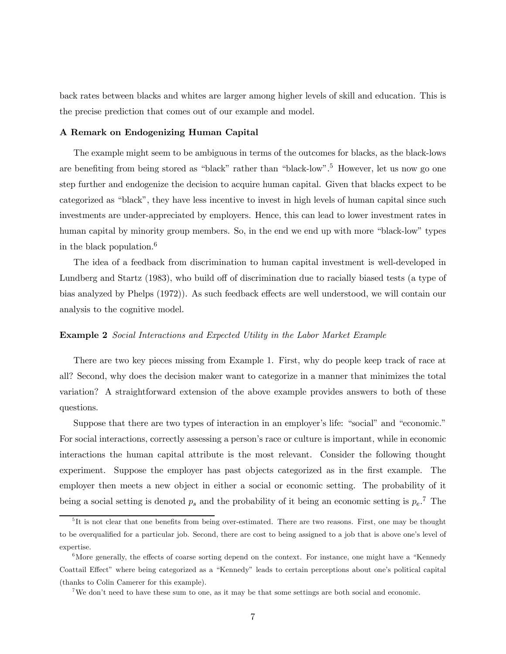back rates between blacks and whites are larger among higher levels of skill and education. This is the precise prediction that comes out of our example and model.

#### A Remark on Endogenizing Human Capital

The example might seem to be ambiguous in terms of the outcomes for blacks, as the black-lows are benefiting from being stored as "black" rather than "black-low".<sup>5</sup> However, let us now go one step further and endogenize the decision to acquire human capital. Given that blacks expect to be categorized as "black", they have less incentive to invest in high levels of human capital since such investments are under-appreciated by employers. Hence, this can lead to lower investment rates in human capital by minority group members. So, in the end we end up with more "black-low" types in the black population.<sup>6</sup>

The idea of a feedback from discrimination to human capital investment is well-developed in Lundberg and Startz (1983), who build off of discrimination due to racially biased tests (a type of bias analyzed by Phelps (1972)). As such feedback effects are well understood, we will contain our analysis to the cognitive model.

#### Example 2 Social Interactions and Expected Utility in the Labor Market Example

There are two key pieces missing from Example 1. First, why do people keep track of race at all? Second, why does the decision maker want to categorize in a manner that minimizes the total variation? A straightforward extension of the above example provides answers to both of these questions.

Suppose that there are two types of interaction in an employer's life: "social" and "economic." For social interactions, correctly assessing a person's race or culture is important, while in economic interactions the human capital attribute is the most relevant. Consider the following thought experiment. Suppose the employer has past objects categorized as in the first example. The employer then meets a new object in either a social or economic setting. The probability of it being a social setting is denoted  $p_s$  and the probability of it being an economic setting is  $p_e$ .<sup>7</sup> The

 ${}^{5}$ It is not clear that one benefits from being over-estimated. There are two reasons. First, one may be thought to be overqualified for a particular job. Second, there are cost to being assigned to a job that is above one's level of expertise.

 $6\text{More generally, the effects of coarse sorting depend on the context. For instance, one might have a "Kennedy"$ Coattail Effect" where being categorized as a "Kennedy" leads to certain perceptions about one's political capital (thanks to Colin Camerer for this example).

We don't need to have these sum to one, as it may be that some settings are both social and economic.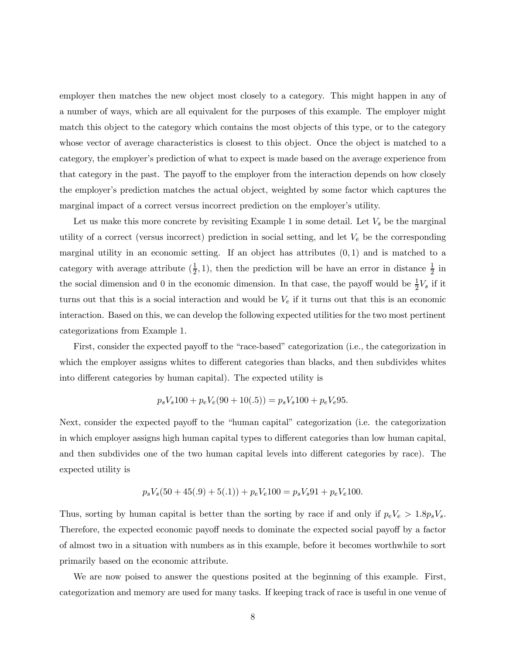employer then matches the new object most closely to a category. This might happen in any of a number of ways, which are all equivalent for the purposes of this example. The employer might match this object to the category which contains the most objects of this type, or to the category whose vector of average characteristics is closest to this object. Once the object is matched to a category, the employer's prediction of what to expect is made based on the average experience from that category in the past. The payoff to the employer from the interaction depends on how closely the employer's prediction matches the actual object, weighted by some factor which captures the marginal impact of a correct versus incorrect prediction on the employer's utility.

Let us make this more concrete by revisiting Example 1 in some detail. Let  $V_s$  be the marginal utility of a correct (versus incorrect) prediction in social setting, and let  $V_e$  be the corresponding marginal utility in an economic setting. If an object has attributes  $(0, 1)$  and is matched to a category with average attribute  $(\frac{1}{2}, 1)$ , then the prediction will be have an error in distance  $\frac{1}{2}$  in the social dimension and 0 in the economic dimension. In that case, the payoff would be  $\frac{1}{2}V_s$  if it turns out that this is a social interaction and would be  $V_e$  if it turns out that this is an economic interaction. Based on this, we can develop the following expected utilities for the two most pertinent categorizations from Example 1.

First, consider the expected payoff to the "race-based" categorization (i.e., the categorization in which the employer assigns whites to different categories than blacks, and then subdivides whites into different categories by human capital). The expected utility is

$$
p_s V_s 100 + p_e V_e (90 + 10(.5)) = p_s V_s 100 + p_e V_e 95.
$$

Next, consider the expected payoff to the "human capital" categorization (i.e. the categorization in which employer assigns high human capital types to different categories than low human capital, and then subdivides one of the two human capital levels into different categories by race). The expected utility is

$$
p_s V_s(50 + 45(.9) + 5(.1)) + p_e V_e 100 = p_s V_s 91 + p_e V_e 100.
$$

Thus, sorting by human capital is better than the sorting by race if and only if  $p_eV_e > 1.8p_sV_s$ . Therefore, the expected economic payoff needs to dominate the expected social payoff by a factor of almost two in a situation with numbers as in this example, before it becomes worthwhile to sort primarily based on the economic attribute.

We are now poised to answer the questions posited at the beginning of this example. First, categorization and memory are used for many tasks. If keeping track of race is useful in one venue of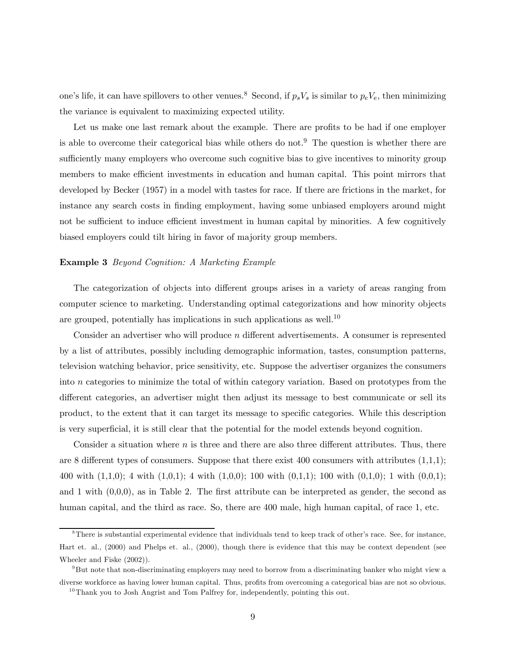one's life, it can have spillovers to other venues.<sup>8</sup> Second, if  $p_sV_s$  is similar to  $p_eV_e$ , then minimizing the variance is equivalent to maximizing expected utility.

Let us make one last remark about the example. There are profits to be had if one employer is able to overcome their categorical bias while others do not.<sup>9</sup> The question is whether there are sufficiently many employers who overcome such cognitive bias to give incentives to minority group members to make efficient investments in education and human capital. This point mirrors that developed by Becker (1957) in a model with tastes for race. If there are frictions in the market, for instance any search costs in finding employment, having some unbiased employers around might not be sufficient to induce efficient investment in human capital by minorities. A few cognitively biased employers could tilt hiring in favor of majority group members.

#### Example 3 Beyond Cognition: A Marketing Example

The categorization of objects into different groups arises in a variety of areas ranging from computer science to marketing. Understanding optimal categorizations and how minority objects are grouped, potentially has implications in such applications as well.<sup>10</sup>

Consider an advertiser who will produce  $n$  different advertisements. A consumer is represented by a list of attributes, possibly including demographic information, tastes, consumption patterns, television watching behavior, price sensitivity, etc. Suppose the advertiser organizes the consumers into n categories to minimize the total of within category variation. Based on prototypes from the different categories, an advertiser might then adjust its message to best communicate or sell its product, to the extent that it can target its message to specific categories. While this description is very superficial, it is still clear that the potential for the model extends beyond cognition.

Consider a situation where  $n$  is three and there are also three different attributes. Thus, there are 8 different types of consumers. Suppose that there exist  $400$  consumers with attributes  $(1,1,1)$ ; 400 with (1,1,0); 4 with (1,0,1); 4 with (1,0,0); 100 with (0,1,1); 100 with (0,1,0); 1 with (0,0,1); and 1 with  $(0,0,0)$ , as in Table 2. The first attribute can be interpreted as gender, the second as human capital, and the third as race. So, there are 400 male, high human capital, of race 1, etc.

<sup>8</sup>There is substantial experimental evidence that individuals tend to keep track of other's race. See, for instance, Hart et. al., (2000) and Phelps et. al., (2000), though there is evidence that this may be context dependent (see Wheeler and Fiske (2002)).

<sup>9</sup>But note that non-discriminating employers may need to borrow from a discriminating banker who might view a diverse workforce as having lower human capital. Thus, profits from overcoming a categorical bias are not so obvious.

 $10$ Thank you to Josh Angrist and Tom Palfrey for, independently, pointing this out.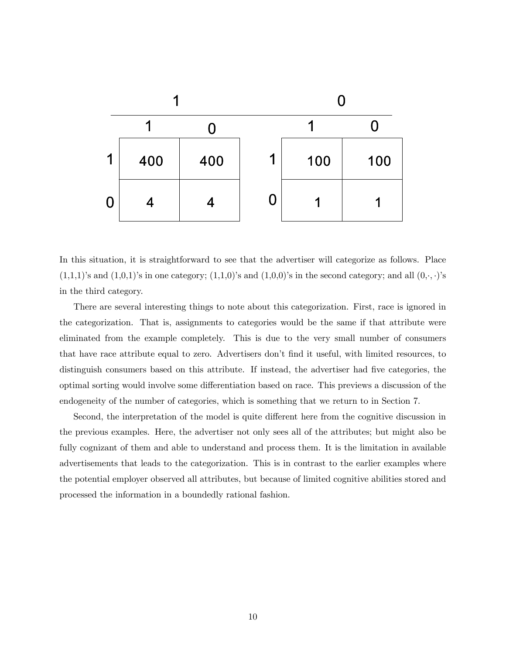

In this situation, it is straightforward to see that the advertiser will categorize as follows. Place  $(1,1,1)'$ 's and  $(1,0,1)'$ 's in one category;  $(1,1,0)'$ 's and  $(1,0,0)'$ 's in the second category; and all  $(0,\cdot,\cdot)'$ 's in the third category.

There are several interesting things to note about this categorization. First, race is ignored in the categorization. That is, assignments to categories would be the same if that attribute were eliminated from the example completely. This is due to the very small number of consumers that have race attribute equal to zero. Advertisers don't find it useful, with limited resources, to distinguish consumers based on this attribute. If instead, the advertiser had five categories, the optimal sorting would involve some differentiation based on race. This previews a discussion of the endogeneity of the number of categories, which is something that we return to in Section 7.

Second, the interpretation of the model is quite different here from the cognitive discussion in the previous examples. Here, the advertiser not only sees all of the attributes; but might also be fully cognizant of them and able to understand and process them. It is the limitation in available advertisements that leads to the categorization. This is in contrast to the earlier examples where the potential employer observed all attributes, but because of limited cognitive abilities stored and processed the information in a boundedly rational fashion.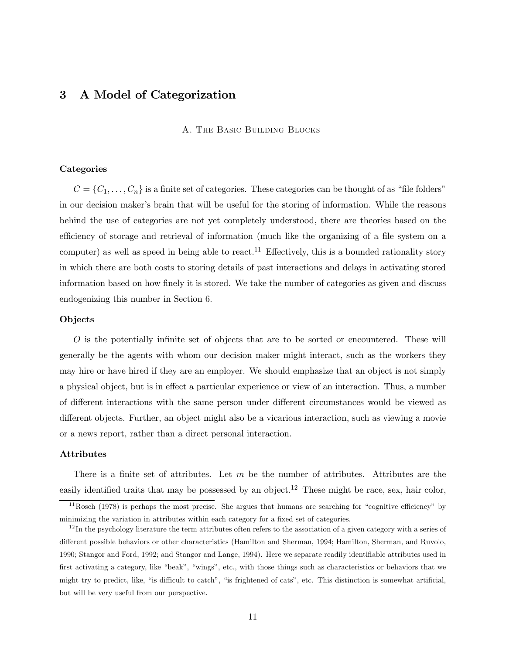# 3 A Model of Categorization

A. The Basic Building Blocks

## **Categories**

 $C = \{C_1, \ldots, C_n\}$  is a finite set of categories. These categories can be thought of as "file folders" in our decision maker's brain that will be useful for the storing of information. While the reasons behind the use of categories are not yet completely understood, there are theories based on the efficiency of storage and retrieval of information (much like the organizing of a file system on a computer) as well as speed in being able to react.<sup>11</sup> Effectively, this is a bounded rationality story in which there are both costs to storing details of past interactions and delays in activating stored information based on how finely it is stored. We take the number of categories as given and discuss endogenizing this number in Section 6.

## **Objects**

O is the potentially infinite set of objects that are to be sorted or encountered. These will generally be the agents with whom our decision maker might interact, such as the workers they may hire or have hired if they are an employer. We should emphasize that an object is not simply a physical object, but is in effect a particular experience or view of an interaction. Thus, a number of different interactions with the same person under different circumstances would be viewed as different objects. Further, an object might also be a vicarious interaction, such as viewing a movie or a news report, rather than a direct personal interaction.

## Attributes

There is a finite set of attributes. Let  $m$  be the number of attributes. Attributes are the easily identified traits that may be possessed by an object.<sup>12</sup> These might be race, sex, hair color,

 $11$  Rosch (1978) is perhaps the most precise. She argues that humans are searching for "cognitive efficiency" by minimizing the variation in attributes within each category for a fixed set of categories.

 $12$ In the psychology literature the term attributes often refers to the association of a given category with a series of different possible behaviors or other characteristics (Hamilton and Sherman, 1994; Hamilton, Sherman, and Ruvolo, 1990; Stangor and Ford, 1992; and Stangor and Lange, 1994). Here we separate readily identifiable attributes used in first activating a category, like "beak", "wings", etc., with those things such as characteristics or behaviors that we might try to predict, like, "is difficult to catch", "is frightened of cats", etc. This distinction is somewhat artificial, but will be very useful from our perspective.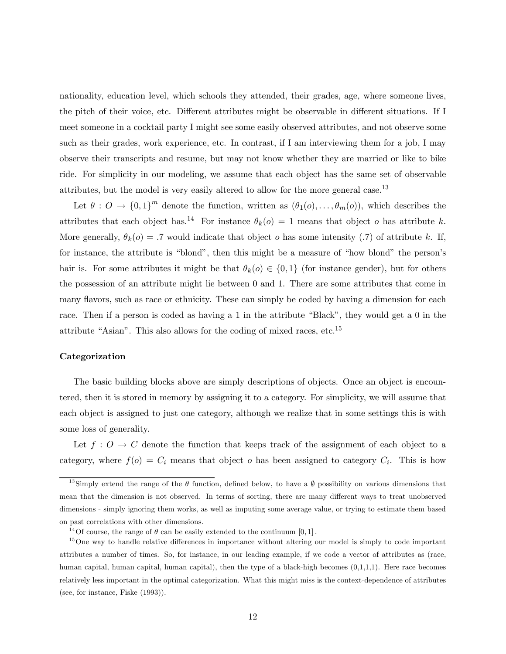nationality, education level, which schools they attended, their grades, age, where someone lives, the pitch of their voice, etc. Different attributes might be observable in different situations. If I meet someone in a cocktail party I might see some easily observed attributes, and not observe some such as their grades, work experience, etc. In contrast, if I am interviewing them for a job, I may observe their transcripts and resume, but may not know whether they are married or like to bike ride. For simplicity in our modeling, we assume that each object has the same set of observable attributes, but the model is very easily altered to allow for the more general case.<sup>13</sup>

Let  $\theta: O \to \{0,1\}^m$  denote the function, written as  $(\theta_1(o), \ldots, \theta_m(o))$ , which describes the attributes that each object has.<sup>14</sup> For instance  $\theta_k(o)=1$  means that object o has attribute k. More generally,  $\theta_k(o) = .7$  would indicate that object o has some intensity (.7) of attribute k. If, for instance, the attribute is "blond", then this might be a measure of "how blond" the person's hair is. For some attributes it might be that  $\theta_k(o) \in \{0,1\}$  (for instance gender), but for others the possession of an attribute might lie between 0 and 1. There are some attributes that come in many flavors, such as race or ethnicity. These can simply be coded by having a dimension for each race. Then if a person is coded as having a 1 in the attribute "Black", they would get a 0 in the attribute "Asian". This also allows for the coding of mixed races, etc.15

#### Categorization

The basic building blocks above are simply descriptions of objects. Once an object is encountered, then it is stored in memory by assigning it to a category. For simplicity, we will assume that each object is assigned to just one category, although we realize that in some settings this is with some loss of generality.

Let  $f: O \to C$  denote the function that keeps track of the assignment of each object to a category, where  $f(o) = C_i$  means that object o has been assigned to category  $C_i$ . This is how

<sup>&</sup>lt;sup>13</sup>Simply extend the range of the  $\theta$  function, defined below, to have a  $\emptyset$  possibility on various dimensions that mean that the dimension is not observed. In terms of sorting, there are many different ways to treat unobserved dimensions - simply ignoring them works, as well as imputing some average value, or trying to estimate them based on past correlations with other dimensions.

<sup>&</sup>lt;sup>14</sup>Of course, the range of  $\theta$  can be easily extended to the continuum [0, 1].

<sup>&</sup>lt;sup>15</sup>One way to handle relative differences in importance without altering our model is simply to code important attributes a number of times. So, for instance, in our leading example, if we code a vector of attributes as (race, human capital, human capital, human capital), then the type of a black-high becomes (0,1,1,1). Here race becomes relatively less important in the optimal categorization. What this might miss is the context-dependence of attributes (see, for instance, Fiske (1993)).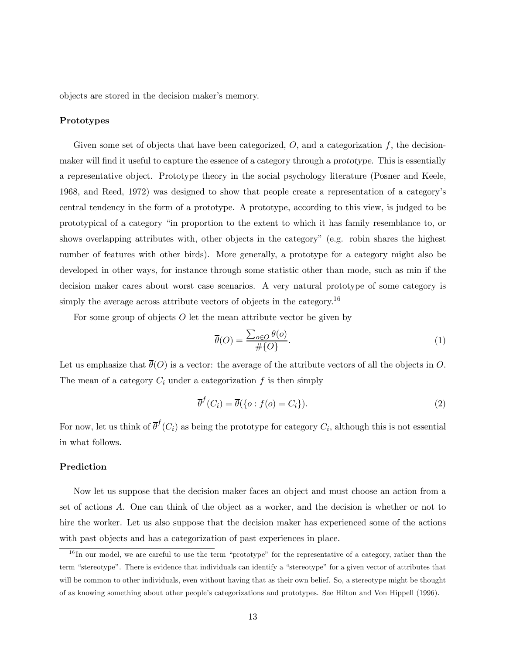objects are stored in the decision maker's memory.

#### Prototypes

Given some set of objects that have been categorized,  $O$ , and a categorization  $f$ , the decisionmaker will find it useful to capture the essence of a category through a prototype. This is essentially a representative object. Prototype theory in the social psychology literature (Posner and Keele, 1968, and Reed, 1972) was designed to show that people create a representation of a category's central tendency in the form of a prototype. A prototype, according to this view, is judged to be prototypical of a category "in proportion to the extent to which it has family resemblance to, or shows overlapping attributes with, other objects in the category" (e.g. robin shares the highest number of features with other birds). More generally, a prototype for a category might also be developed in other ways, for instance through some statistic other than mode, such as min if the decision maker cares about worst case scenarios. A very natural prototype of some category is simply the average across attribute vectors of objects in the category.<sup>16</sup>

For some group of objects  $O$  let the mean attribute vector be given by

$$
\overline{\theta}(O) = \frac{\sum_{o \in O} \theta(o)}{\#\{O\}}.
$$
\n(1)

Let us emphasize that  $\bar{\theta}(O)$  is a vector: the average of the attribute vectors of all the objects in O. The mean of a category  $C_i$  under a categorization  $f$  is then simply

$$
\overline{\theta}^{f}(C_{i}) = \overline{\theta}(\{o : f(o) = C_{i}\}).
$$
\n(2)

For now, let us think of  $\overline{\theta}^f(C_i)$  as being the prototype for category  $C_i$ , although this is not essential in what follows.

#### Prediction

Now let us suppose that the decision maker faces an object and must choose an action from a set of actions A. One can think of the object as a worker, and the decision is whether or not to hire the worker. Let us also suppose that the decision maker has experienced some of the actions with past objects and has a categorization of past experiences in place.

 $1<sup>6</sup>$  In our model, we are careful to use the term "prototype" for the representative of a category, rather than the term "stereotype". There is evidence that individuals can identify a "stereotype" for a given vector of attributes that will be common to other individuals, even without having that as their own belief. So, a stereotype might be thought of as knowing something about other people's categorizations and prototypes. See Hilton and Von Hippell (1996).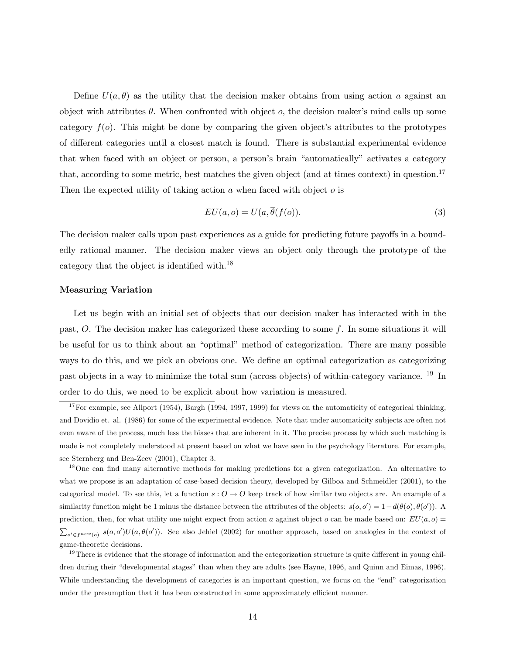Define  $U(a, \theta)$  as the utility that the decision maker obtains from using action a against an object with attributes  $\theta$ . When confronted with object  $o$ , the decision maker's mind calls up some category  $f(\rho)$ . This might be done by comparing the given object's attributes to the prototypes of different categories until a closest match is found. There is substantial experimental evidence that when faced with an object or person, a person's brain "automatically" activates a category that, according to some metric, best matches the given object (and at times context) in question.17 Then the expected utility of taking action  $\alpha$  when faced with object  $\alpha$  is

$$
EU(a, o) = U(a, \overline{\theta}(f(o)).
$$
\n(3)

The decision maker calls upon past experiences as a guide for predicting future payoffs in a boundedly rational manner. The decision maker views an object only through the prototype of the category that the object is identified with.18

#### Measuring Variation

Let us begin with an initial set of objects that our decision maker has interacted with in the past,  $O$ . The decision maker has categorized these according to some  $f$ . In some situations it will be useful for us to think about an "optimal" method of categorization. There are many possible ways to do this, and we pick an obvious one. We define an optimal categorization as categorizing past objects in a way to minimize the total sum (across objects) of within-category variance. <sup>19</sup> In order to do this, we need to be explicit about how variation is measured.

 $17$  For example, see Allport (1954), Bargh (1994, 1997, 1999) for views on the automaticity of categorical thinking, and Dovidio et. al. (1986) for some of the experimental evidence. Note that under automaticity subjects are often not even aware of the process, much less the biases that are inherent in it. The precise process by which such matching is made is not completely understood at present based on what we have seen in the psychology literature. For example, see Sternberg and Ben-Zeev (2001), Chapter 3.

<sup>&</sup>lt;sup>18</sup>One can find many alternative methods for making predictions for a given categorization. An alternative to what we propose is an adaptation of case-based decision theory, developed by Gilboa and Schmeidler (2001), to the categorical model. To see this, let a function  $s: O \to O$  keep track of how similar two objects are. An example of a similarity function might be 1 minus the distance between the attributes of the objects:  $s(o, o') = 1 - d(\theta(o), \theta(o'))$ . A prediction, then, for what utility one might expect from action a against object  $o$  can be made based on:  $EU(a, o)$  =  $\sum_{o' \in f^{new}(o)} s(o, o')U(a, \theta(o'))$ . See also Jehiel (2002) for another approach, based on analogies in the context of game-theoretic decisions.

 $19$ There is evidence that the storage of information and the categorization structure is quite different in young children during their "developmental stages" than when they are adults (see Hayne, 1996, and Quinn and Eimas, 1996). While understanding the development of categories is an important question, we focus on the "end" categorization under the presumption that it has been constructed in some approximately efficient manner.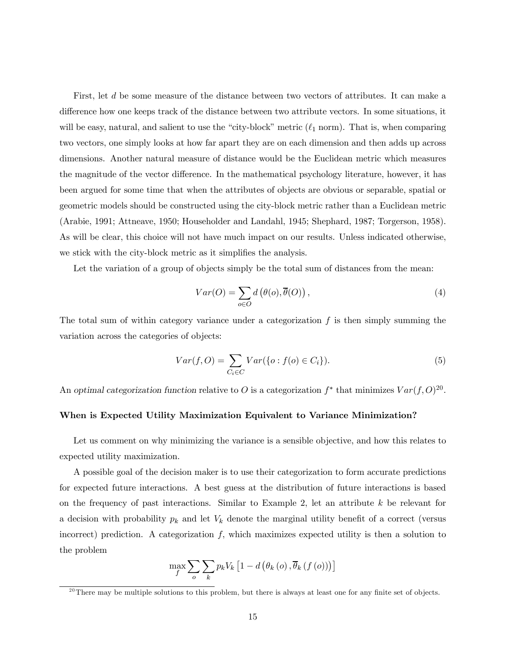First, let d be some measure of the distance between two vectors of attributes. It can make a difference how one keeps track of the distance between two attribute vectors. In some situations, it will be easy, natural, and salient to use the "city-block" metric  $(\ell_1$  norm). That is, when comparing two vectors, one simply looks at how far apart they are on each dimension and then adds up across dimensions. Another natural measure of distance would be the Euclidean metric which measures the magnitude of the vector difference. In the mathematical psychology literature, however, it has been argued for some time that when the attributes of objects are obvious or separable, spatial or geometric models should be constructed using the city-block metric rather than a Euclidean metric (Arabie, 1991; Attneave, 1950; Householder and Landahl, 1945; Shephard, 1987; Torgerson, 1958). As will be clear, this choice will not have much impact on our results. Unless indicated otherwise, we stick with the city-block metric as it simplifies the analysis.

Let the variation of a group of objects simply be the total sum of distances from the mean:

$$
Var(O) = \sum_{o \in O} d(\theta(o), \overline{\theta}(O)), \qquad (4)
$$

The total sum of within category variance under a categorization  $f$  is then simply summing the variation across the categories of objects:

$$
Var(f, O) = \sum_{C_i \in C} Var(\{o : f(o) \in C_i\}).
$$
\n
$$
(5)
$$

An optimal categorization function relative to O is a categorization  $f^*$  that minimizes  $Var(f, O)^{20}$ .

## When is Expected Utility Maximization Equivalent to Variance Minimization?

Let us comment on why minimizing the variance is a sensible objective, and how this relates to expected utility maximization.

A possible goal of the decision maker is to use their categorization to form accurate predictions for expected future interactions. A best guess at the distribution of future interactions is based on the frequency of past interactions. Similar to Example 2, let an attribute  $k$  be relevant for a decision with probability  $p_k$  and let  $V_k$  denote the marginal utility benefit of a correct (versus incorrect) prediction. A categorization  $f$ , which maximizes expected utility is then a solution to the problem

$$
\max_{f} \sum_{o} \sum_{k} p_{k} V_{k} \left[1 - d\left(\theta_{k}\left(o\right), \overline{\theta}_{k}\left(f\left(o\right)\right)\right)\right]
$$

 $^{20}$ There may be multiple solutions to this problem, but there is always at least one for any finite set of objects.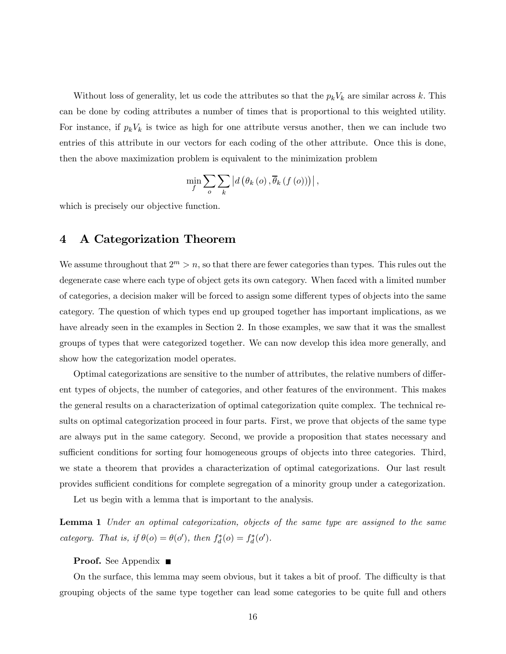Without loss of generality, let us code the attributes so that the  $p_kV_k$  are similar across k. This can be done by coding attributes a number of times that is proportional to this weighted utility. For instance, if  $p_k V_k$  is twice as high for one attribute versus another, then we can include two entries of this attribute in our vectors for each coding of the other attribute. Once this is done, then the above maximization problem is equivalent to the minimization problem

$$
\min_{f} \sum_{o} \sum_{k} \left| d \left( \theta_{k} \left( o \right), \overline{\theta}_{k} \left( f \left( o \right) \right) \right) \right|,
$$

which is precisely our objective function.

## 4 A Categorization Theorem

We assume throughout that  $2^m > n$ , so that there are fewer categories than types. This rules out the degenerate case where each type of object gets its own category. When faced with a limited number of categories, a decision maker will be forced to assign some different types of objects into the same category. The question of which types end up grouped together has important implications, as we have already seen in the examples in Section 2. In those examples, we saw that it was the smallest groups of types that were categorized together. We can now develop this idea more generally, and show how the categorization model operates.

Optimal categorizations are sensitive to the number of attributes, the relative numbers of different types of objects, the number of categories, and other features of the environment. This makes the general results on a characterization of optimal categorization quite complex. The technical results on optimal categorization proceed in four parts. First, we prove that objects of the same type are always put in the same category. Second, we provide a proposition that states necessary and sufficient conditions for sorting four homogeneous groups of objects into three categories. Third, we state a theorem that provides a characterization of optimal categorizations. Our last result provides sufficient conditions for complete segregation of a minority group under a categorization.

Let us begin with a lemma that is important to the analysis.

Lemma 1 Under an optimal categorization, objects of the same type are assigned to the same category. That is, if  $\theta(o) = \theta(o')$ , then  $f_d^*(o) = f_d^*(o')$ .

#### **Proof.** See Appendix ■

On the surface, this lemma may seem obvious, but it takes a bit of proof. The difficulty is that grouping objects of the same type together can lead some categories to be quite full and others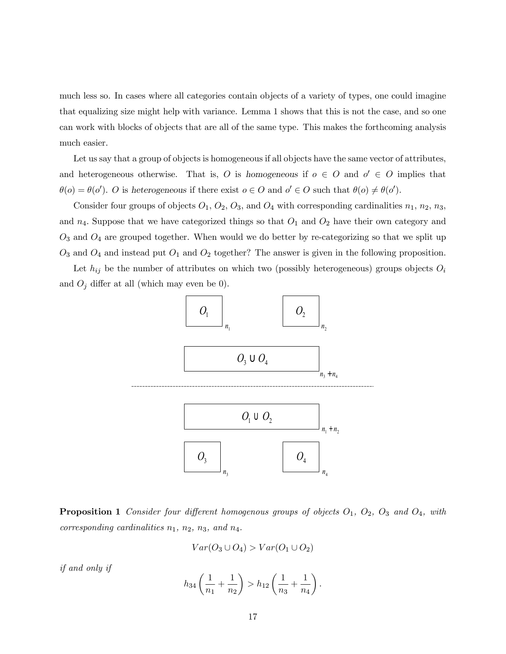much less so. In cases where all categories contain objects of a variety of types, one could imagine that equalizing size might help with variance. Lemma 1 shows that this is not the case, and so one can work with blocks of objects that are all of the same type. This makes the forthcoming analysis much easier.

Let us say that a group of objects is homogeneous if all objects have the same vector of attributes, and heterogeneous otherwise. That is, O is homogeneous if  $o \in O$  and  $o' \in O$  implies that  $\theta(o) = \theta(o')$ . O is heterogeneous if there exist  $o \in O$  and  $o' \in O$  such that  $\theta(o) \neq \theta(o')$ .

Consider four groups of objects  $O_1$ ,  $O_2$ ,  $O_3$ , and  $O_4$  with corresponding cardinalities  $n_1$ ,  $n_2$ ,  $n_3$ , and  $n_4$ . Suppose that we have categorized things so that  $O_1$  and  $O_2$  have their own category and  $O_3$  and  $O_4$  are grouped together. When would we do better by re-categorizing so that we split up  $O_3$  and  $O_4$  and instead put  $O_1$  and  $O_2$  together? The answer is given in the following proposition.

Let  $h_{ij}$  be the number of attributes on which two (possibly heterogeneous) groups objects  $O_i$ and  $O_j$  differ at all (which may even be 0).



**Proposition 1** Consider four different homogenous groups of objects  $O_1$ ,  $O_2$ ,  $O_3$  and  $O_4$ , with corresponding cardinalities  $n_1$ ,  $n_2$ ,  $n_3$ , and  $n_4$ .

$$
Var(O_3 \cup O_4) > Var(O_1 \cup O_2)
$$

if and only if

$$
h_{34}\left(\frac{1}{n_1} + \frac{1}{n_2}\right) > h_{12}\left(\frac{1}{n_3} + \frac{1}{n_4}\right).
$$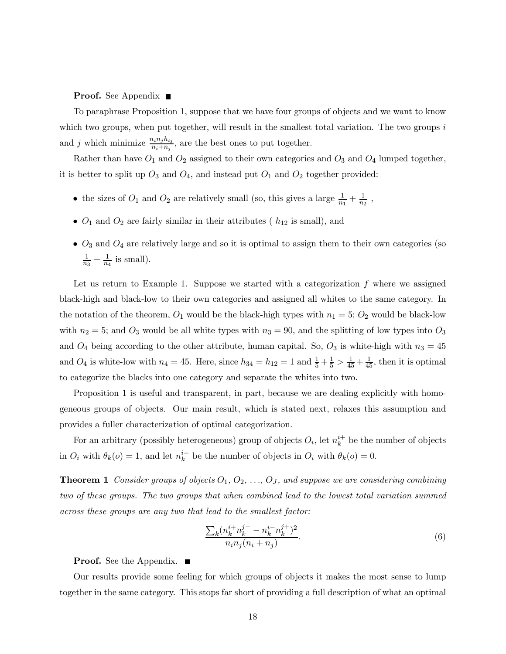## Proof. See Appendix ■

To paraphrase Proposition 1, suppose that we have four groups of objects and we want to know which two groups, when put together, will result in the smallest total variation. The two groups  $i$ and j which minimize  $\frac{n_i n_j h_{ij}}{n_i+n_j}$ , are the best ones to put together.

Rather than have  $O_1$  and  $O_2$  assigned to their own categories and  $O_3$  and  $O_4$  lumped together, it is better to split up  $O_3$  and  $O_4$ , and instead put  $O_1$  and  $O_2$  together provided:

- the sizes of  $O_1$  and  $O_2$  are relatively small (so, this gives a large  $\frac{1}{n_1} + \frac{1}{n_2}$ ,
- $O_1$  and  $O_2$  are fairly similar in their attributes ( $h_{12}$  is small), and
- $O_3$  and  $O_4$  are relatively large and so it is optimal to assign them to their own categories (so  $\frac{1}{n_3} + \frac{1}{n_4}$  is small).

Let us return to Example 1. Suppose we started with a categorization  $f$  where we assigned black-high and black-low to their own categories and assigned all whites to the same category. In the notation of the theorem,  $O_1$  would be the black-high types with  $n_1 = 5$ ;  $O_2$  would be black-low with  $n_2 = 5$ ; and  $O_3$  would be all white types with  $n_3 = 90$ , and the splitting of low types into  $O_3$ and  $O_4$  being according to the other attribute, human capital. So,  $O_3$  is white-high with  $n_3 = 45$ and  $O_4$  is white-low with  $n_4 = 45$ . Here, since  $h_{34} = h_{12} = 1$  and  $\frac{1}{5} + \frac{1}{5} > \frac{1}{45} + \frac{1}{45}$ , then it is optimal to categorize the blacks into one category and separate the whites into two.

Proposition 1 is useful and transparent, in part, because we are dealing explicitly with homogeneous groups of objects. Our main result, which is stated next, relaxes this assumption and provides a fuller characterization of optimal categorization.

For an arbitrary (possibly heterogeneous) group of objects  $O_i$ , let  $n_k^{i+}$  be the number of objects in  $O_i$  with  $\theta_k(o)=1$ , and let  $n_k^{i-}$  be the number of objects in  $O_i$  with  $\theta_k(o)=0$ .

**Theorem 1** Consider groups of objects  $O_1$ ,  $O_2$ , ...,  $O_J$ , and suppose we are considering combining two of these groups. The two groups that when combined lead to the lowest total variation summed across these groups are any two that lead to the smallest factor:

$$
\frac{\sum_{k} (n_k^{i+} n_k^{j-} - n_k^{i-} n_k^{j+})^2}{n_i n_j (n_i + n_j)}.
$$
\n(6)

**Proof.** See the Appendix. ■

Our results provide some feeling for which groups of objects it makes the most sense to lump together in the same category. This stops far short of providing a full description of what an optimal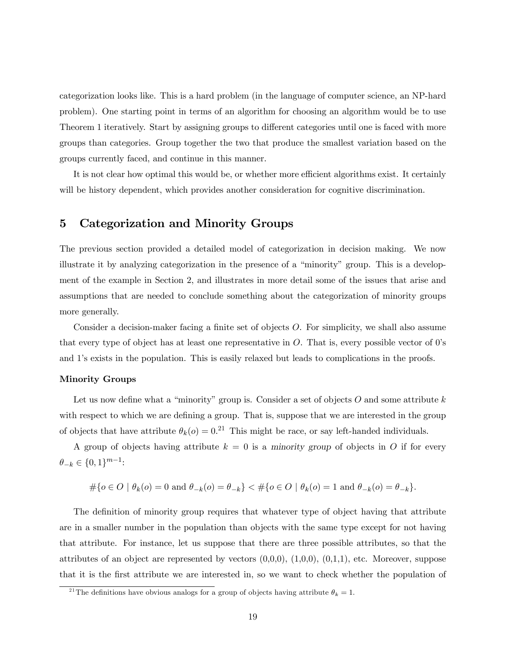categorization looks like. This is a hard problem (in the language of computer science, an NP-hard problem). One starting point in terms of an algorithm for choosing an algorithm would be to use Theorem 1 iteratively. Start by assigning groups to different categories until one is faced with more groups than categories. Group together the two that produce the smallest variation based on the groups currently faced, and continue in this manner.

It is not clear how optimal this would be, or whether more efficient algorithms exist. It certainly will be history dependent, which provides another consideration for cognitive discrimination.

# 5 Categorization and Minority Groups

The previous section provided a detailed model of categorization in decision making. We now illustrate it by analyzing categorization in the presence of a "minority" group. This is a development of the example in Section 2, and illustrates in more detail some of the issues that arise and assumptions that are needed to conclude something about the categorization of minority groups more generally.

Consider a decision-maker facing a finite set of objects O. For simplicity, we shall also assume that every type of object has at least one representative in  $O$ . That is, every possible vector of  $0$ 's and 1's exists in the population. This is easily relaxed but leads to complications in the proofs.

#### Minority Groups

Let us now define what a "minority" group is. Consider a set of objects  $O$  and some attribute  $k$ with respect to which we are defining a group. That is, suppose that we are interested in the group of objects that have attribute  $\theta_k(o) = 0.21$  This might be race, or say left-handed individuals.

A group of objects having attribute  $k = 0$  is a minority group of objects in O if for every  $\theta_{-k} \in \{0, 1\}^{m-1}$ :

$$
\#\{o \in O \mid \theta_k(o) = 0 \text{ and } \theta_{-k}(o) = \theta_{-k}\} < \#\{o \in O \mid \theta_k(o) = 1 \text{ and } \theta_{-k}(o) = \theta_{-k}\}.
$$

The definition of minority group requires that whatever type of object having that attribute are in a smaller number in the population than objects with the same type except for not having that attribute. For instance, let us suppose that there are three possible attributes, so that the attributes of an object are represented by vectors  $(0,0,0)$ ,  $(1,0,0)$ ,  $(0,1,1)$ , etc. Moreover, suppose that it is the first attribute we are interested in, so we want to check whether the population of

<sup>&</sup>lt;sup>21</sup>The definitions have obvious analogs for a group of objects having attribute  $\theta_k = 1$ .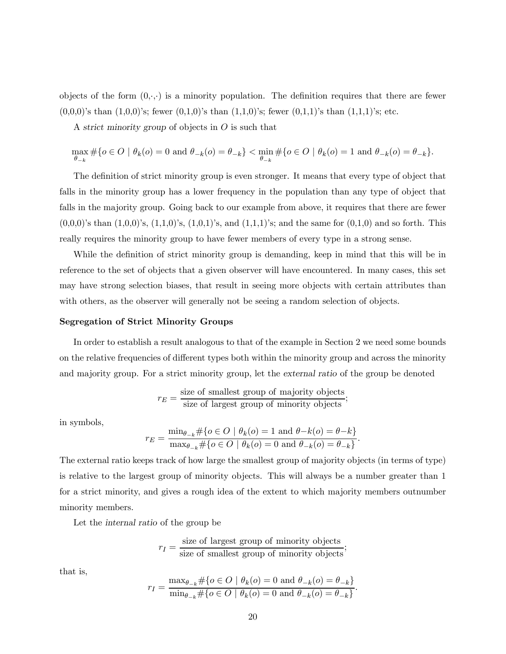objects of the form  $(0,\cdot,\cdot)$  is a minority population. The definition requires that there are fewer  $(0,0,0)$ 's than  $(1,0,0)$ 's; fewer  $(0,1,0)$ 's than  $(1,1,0)$ 's; fewer  $(0,1,1)$ 's than  $(1,1,1)$ 's; etc.

A strict minority group of objects in  $O$  is such that

$$
\max_{\theta_{-k}} \# \{ o \in O \mid \theta_k(o) = 0 \text{ and } \theta_{-k}(o) = \theta_{-k} \} < \min_{\theta_{-k}} \# \{ o \in O \mid \theta_k(o) = 1 \text{ and } \theta_{-k}(o) = \theta_{-k} \}.
$$

The definition of strict minority group is even stronger. It means that every type of object that falls in the minority group has a lower frequency in the population than any type of object that falls in the majority group. Going back to our example from above, it requires that there are fewer  $(0,0,0)$ 's than  $(1,0,0)$ 's,  $(1,1,0)$ 's,  $(1,0,1)$ 's, and  $(1,1,1)$ 's; and the same for  $(0,1,0)$  and so forth. This really requires the minority group to have fewer members of every type in a strong sense.

While the definition of strict minority group is demanding, keep in mind that this will be in reference to the set of objects that a given observer will have encountered. In many cases, this set may have strong selection biases, that result in seeing more objects with certain attributes than with others, as the observer will generally not be seeing a random selection of objects.

#### Segregation of Strict Minority Groups

In order to establish a result analogous to that of the example in Section 2 we need some bounds on the relative frequencies of different types both within the minority group and across the minority and majority group. For a strict minority group, let the external ratio of the group be denoted

$$
r_E = \frac{\text{size of smallest group of majority objects}}{\text{size of largest group of minority objects}};
$$

in symbols,

$$
r_E = \frac{\min_{\theta_{-k}} \# \{o \in O \mid \theta_k(o) = 1 \text{ and } \theta - k(o) = \theta - k\}}{\max_{\theta_{-k}} \# \{o \in O \mid \theta_k(o) = 0 \text{ and } \theta_{-k}(o) = \theta - k\}}.
$$

The external ratio keeps track of how large the smallest group of majority objects (in terms of type) is relative to the largest group of minority objects. This will always be a number greater than 1 for a strict minority, and gives a rough idea of the extent to which majority members outnumber minority members.

Let the internal ratio of the group be

$$
r_I = \frac{\text{size of largest group of minority objects}}{\text{size of smallest group of minority objects}};
$$

that is,

$$
r_I = \frac{\max_{\theta_{-k}} \# \{o \in O \mid \theta_k(o) = 0 \text{ and } \theta_{-k}(o) = \theta_{-k}\}}{\min_{\theta_{-k}} \# \{o \in O \mid \theta_k(o) = 0 \text{ and } \theta_{-k}(o) = \theta_{-k}\}}.
$$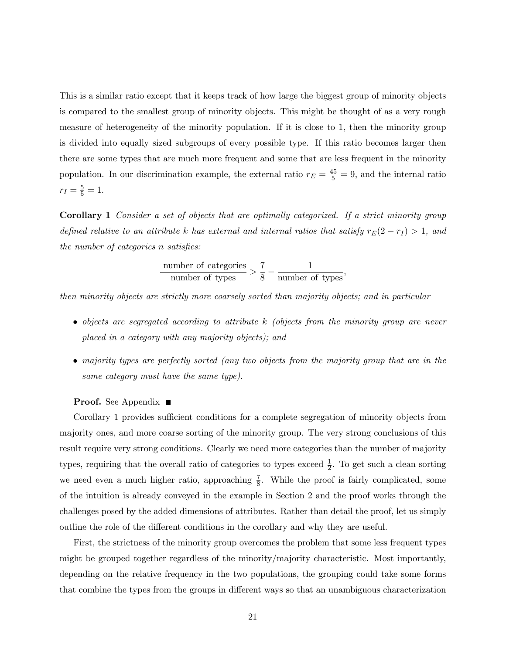This is a similar ratio except that it keeps track of how large the biggest group of minority objects is compared to the smallest group of minority objects. This might be thought of as a very rough measure of heterogeneity of the minority population. If it is close to 1, then the minority group is divided into equally sized subgroups of every possible type. If this ratio becomes larger then there are some types that are much more frequent and some that are less frequent in the minority population. In our discrimination example, the external ratio  $r_E = \frac{45}{5} = 9$ , and the internal ratio  $r_I = \frac{5}{5} = 1.$ 

Corollary 1 Consider a set of objects that are optimally categorized. If a strict minority group defined relative to an attribute k has external and internal ratios that satisfy  $r_E(2 - r_I) > 1$ , and the number of categories n satisfies:

$$
\frac{\text{number of categories}}{\text{number of types}} > \frac{7}{8} - \frac{1}{\text{number of types}},
$$

then minority objects are strictly more coarsely sorted than majority objects; and in particular

- objects are segregated according to attribute  $k$  (objects from the minority group are never placed in a category with any majority objects); and
- majority types are perfectly sorted (any two objects from the majority group that are in the same category must have the same type).

#### **Proof.** See Appendix ■

Corollary 1 provides sufficient conditions for a complete segregation of minority objects from majority ones, and more coarse sorting of the minority group. The very strong conclusions of this result require very strong conditions. Clearly we need more categories than the number of majority types, requiring that the overall ratio of categories to types exceed  $\frac{1}{2}$ . To get such a clean sorting we need even a much higher ratio, approaching  $\frac{7}{8}$ . While the proof is fairly complicated, some of the intuition is already conveyed in the example in Section 2 and the proof works through the challenges posed by the added dimensions of attributes. Rather than detail the proof, let us simply outline the role of the different conditions in the corollary and why they are useful.

First, the strictness of the minority group overcomes the problem that some less frequent types might be grouped together regardless of the minority/majority characteristic. Most importantly, depending on the relative frequency in the two populations, the grouping could take some forms that combine the types from the groups in different ways so that an unambiguous characterization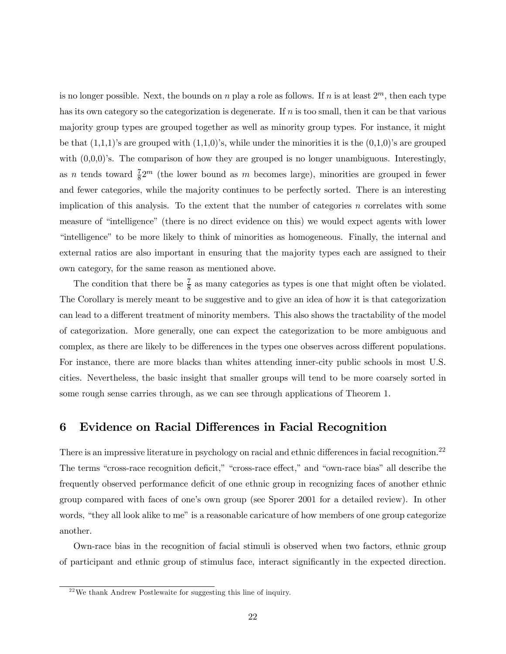is no longer possible. Next, the bounds on n play a role as follows. If n is at least  $2^m$ , then each type has its own category so the categorization is degenerate. If n is too small, then it can be that various majority group types are grouped together as well as minority group types. For instance, it might be that  $(1,1,1)$ 's are grouped with  $(1,1,0)$ 's, while under the minorities it is the  $(0,1,0)$ 's are grouped with  $(0,0,0)$ 's. The comparison of how they are grouped is no longer unambiguous. Interestingly, as *n* tends toward  $\frac{7}{8}2^m$  (the lower bound as *m* becomes large), minorities are grouped in fewer and fewer categories, while the majority continues to be perfectly sorted. There is an interesting implication of this analysis. To the extent that the number of categories  $n$  correlates with some measure of "intelligence" (there is no direct evidence on this) we would expect agents with lower "intelligence" to be more likely to think of minorities as homogeneous. Finally, the internal and external ratios are also important in ensuring that the majority types each are assigned to their own category, for the same reason as mentioned above.

The condition that there be  $\frac{7}{8}$  as many categories as types is one that might often be violated. The Corollary is merely meant to be suggestive and to give an idea of how it is that categorization can lead to a different treatment of minority members. This also shows the tractability of the model of categorization. More generally, one can expect the categorization to be more ambiguous and complex, as there are likely to be differences in the types one observes across different populations. For instance, there are more blacks than whites attending inner-city public schools in most U.S. cities. Nevertheless, the basic insight that smaller groups will tend to be more coarsely sorted in some rough sense carries through, as we can see through applications of Theorem 1.

# 6 Evidence on Racial Differences in Facial Recognition

There is an impressive literature in psychology on racial and ethnic differences in facial recognition.<sup>22</sup> The terms "cross-race recognition deficit," "cross-race effect," and "own-race bias" all describe the frequently observed performance deficit of one ethnic group in recognizing faces of another ethnic group compared with faces of one's own group (see Sporer 2001 for a detailed review). In other words, "they all look alike to me" is a reasonable caricature of how members of one group categorize another.

Own-race bias in the recognition of facial stimuli is observed when two factors, ethnic group of participant and ethnic group of stimulus face, interact significantly in the expected direction.

 $2<sup>22</sup>$  We thank Andrew Postlewaite for suggesting this line of inquiry.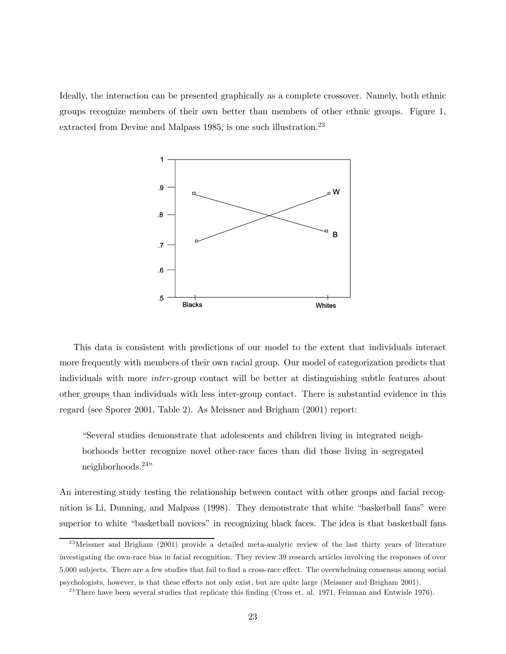Ideally, the interaction can be presented graphically as a complete crossover. Namely, both ethnic groups recognize members of their own better than members of other ethnic groups. Figure 1, extracted from Devine and Malpass 1985, is one such illustration.<sup>23</sup>



This data is consistent with predictions of our model to the extent that individuals interact more frequently with members of their own racial group. Our model of categorization predicts that individuals with more inter-group contact will be better at distinguishing subtle features about other groups than individuals with less inter-group contact. There is substantial evidence in this regard (see Sporer 2001, Table 2). As Meissner and Brigham (2001) report:

"Several studies demonstrate that adolescents and children living in integrated neighborhoods better recognize novel other-race faces than did those living in segregated neighborhoods. $24$ "

An interesting study testing the relationship between contact with other groups and facial recognition is Li, Dunning, and Malpass (1998). They demonstrate that white "basketball fans" were superior to white "basketball novices" in recognizing black faces. The idea is that basketball fans

 $^{23}$ Meissner and Brigham (2001) provide a detailed meta-analytic review of the last thirty years of literature investigating the own-race bias in facial recognition. They review 39 research articles involving the responses of over 5,000 subjects. There are a few studies that fail to find a cross-race effect. The overwhelming consensus among social psychologists, however, is that these effects not only exist, but are quite large (Meissner and Brigham 2001).

 $^{24}$ There have been several studies that replicate this finding (Cross et. al. 1971, Feinman and Entwisle 1976).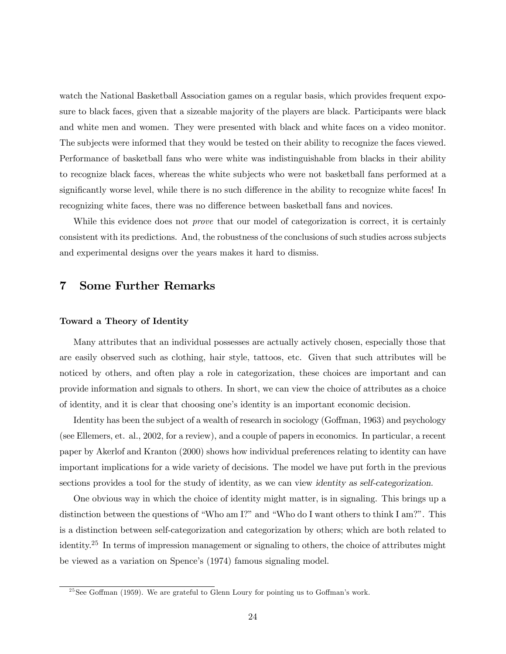watch the National Basketball Association games on a regular basis, which provides frequent exposure to black faces, given that a sizeable majority of the players are black. Participants were black and white men and women. They were presented with black and white faces on a video monitor. The subjects were informed that they would be tested on their ability to recognize the faces viewed. Performance of basketball fans who were white was indistinguishable from blacks in their ability to recognize black faces, whereas the white subjects who were not basketball fans performed at a significantly worse level, while there is no such difference in the ability to recognize white faces! In recognizing white faces, there was no difference between basketball fans and novices.

While this evidence does not *prove* that our model of categorization is correct, it is certainly consistent with its predictions. And, the robustness of the conclusions of such studies across subjects and experimental designs over the years makes it hard to dismiss.

# 7 Some Further Remarks

#### Toward a Theory of Identity

Many attributes that an individual possesses are actually actively chosen, especially those that are easily observed such as clothing, hair style, tattoos, etc. Given that such attributes will be noticed by others, and often play a role in categorization, these choices are important and can provide information and signals to others. In short, we can view the choice of attributes as a choice of identity, and it is clear that choosing one's identity is an important economic decision.

Identity has been the subject of a wealth of research in sociology (Goffman, 1963) and psychology (see Ellemers, et. al., 2002, for a review), and a couple of papers in economics. In particular, a recent paper by Akerlof and Kranton (2000) shows how individual preferences relating to identity can have important implications for a wide variety of decisions. The model we have put forth in the previous sections provides a tool for the study of identity, as we can view identity as self-categorization.

One obvious way in which the choice of identity might matter, is in signaling. This brings up a distinction between the questions of "Who am I?" and "Who do I want others to think I am?". This is a distinction between self-categorization and categorization by others; which are both related to identity.25 In terms of impression management or signaling to others, the choice of attributes might be viewed as a variation on Spence's (1974) famous signaling model.

 $^{25}$ See Goffman (1959). We are grateful to Glenn Loury for pointing us to Goffman's work.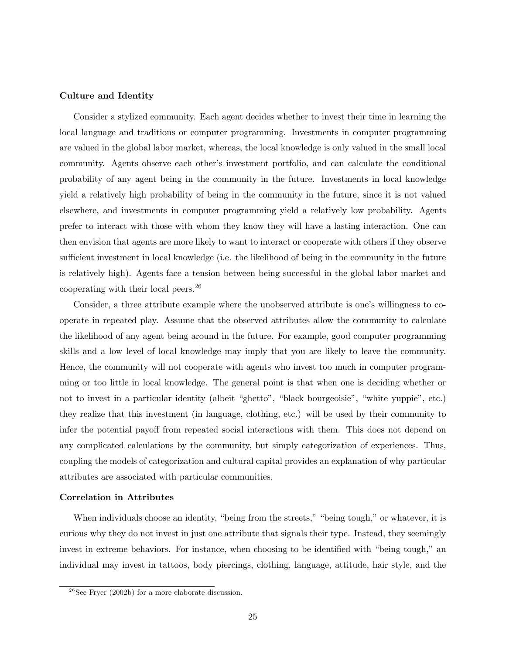#### Culture and Identity

Consider a stylized community. Each agent decides whether to invest their time in learning the local language and traditions or computer programming. Investments in computer programming are valued in the global labor market, whereas, the local knowledge is only valued in the small local community. Agents observe each other's investment portfolio, and can calculate the conditional probability of any agent being in the community in the future. Investments in local knowledge yield a relatively high probability of being in the community in the future, since it is not valued elsewhere, and investments in computer programming yield a relatively low probability. Agents prefer to interact with those with whom they know they will have a lasting interaction. One can then envision that agents are more likely to want to interact or cooperate with others if they observe sufficient investment in local knowledge (i.e. the likelihood of being in the community in the future is relatively high). Agents face a tension between being successful in the global labor market and cooperating with their local peers.26

Consider, a three attribute example where the unobserved attribute is one's willingness to cooperate in repeated play. Assume that the observed attributes allow the community to calculate the likelihood of any agent being around in the future. For example, good computer programming skills and a low level of local knowledge may imply that you are likely to leave the community. Hence, the community will not cooperate with agents who invest too much in computer programming or too little in local knowledge. The general point is that when one is deciding whether or not to invest in a particular identity (albeit "ghetto", "black bourgeoisie", "white yuppie", etc.) they realize that this investment (in language, clothing, etc.) will be used by their community to infer the potential payoff from repeated social interactions with them. This does not depend on any complicated calculations by the community, but simply categorization of experiences. Thus, coupling the models of categorization and cultural capital provides an explanation of why particular attributes are associated with particular communities.

#### Correlation in Attributes

When individuals choose an identity, "being from the streets," "being tough," or whatever, it is curious why they do not invest in just one attribute that signals their type. Instead, they seemingly invest in extreme behaviors. For instance, when choosing to be identified with "being tough," an individual may invest in tattoos, body piercings, clothing, language, attitude, hair style, and the

 $26$  See Fryer (2002b) for a more elaborate discussion.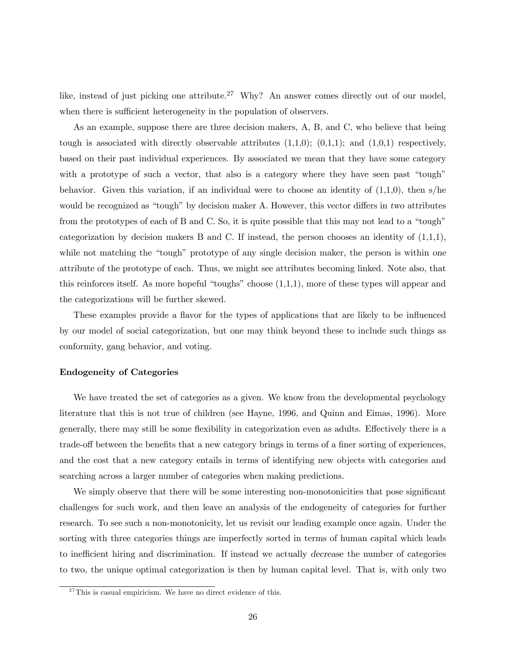like, instead of just picking one attribute.<sup>27</sup> Why? An answer comes directly out of our model, when there is sufficient heterogeneity in the population of observers.

As an example, suppose there are three decision makers, A, B, and C, who believe that being tough is associated with directly observable attributes  $(1,1,0)$ ;  $(0,1,1)$ ; and  $(1,0,1)$  respectively, based on their past individual experiences. By associated we mean that they have some category with a prototype of such a vector, that also is a category where they have seen past "tough" behavior. Given this variation, if an individual were to choose an identity of  $(1,1,0)$ , then s/he would be recognized as "tough" by decision maker A. However, this vector differs in two attributes from the prototypes of each of B and C. So, it is quite possible that this may not lead to a "tough" categorization by decision makers B and C. If instead, the person chooses an identity of  $(1,1,1)$ , while not matching the "tough" prototype of any single decision maker, the person is within one attribute of the prototype of each. Thus, we might see attributes becoming linked. Note also, that this reinforces itself. As more hopeful "toughs" choose (1,1,1), more of these types will appear and the categorizations will be further skewed.

These examples provide a flavor for the types of applications that are likely to be influenced by our model of social categorization, but one may think beyond these to include such things as conformity, gang behavior, and voting.

#### Endogeneity of Categories

We have treated the set of categories as a given. We know from the developmental psychology literature that this is not true of children (see Hayne, 1996, and Quinn and Eimas, 1996). More generally, there may still be some flexibility in categorization even as adults. Effectively there is a trade-off between the benefits that a new category brings in terms of a finer sorting of experiences, and the cost that a new category entails in terms of identifying new objects with categories and searching across a larger number of categories when making predictions.

We simply observe that there will be some interesting non-monotonicities that pose significant challenges for such work, and then leave an analysis of the endogeneity of categories for further research. To see such a non-monotonicity, let us revisit our leading example once again. Under the sorting with three categories things are imperfectly sorted in terms of human capital which leads to inefficient hiring and discrimination. If instead we actually decrease the number of categories to two, the unique optimal categorization is then by human capital level. That is, with only two

 $27$ This is casual empiricism. We have no direct evidence of this.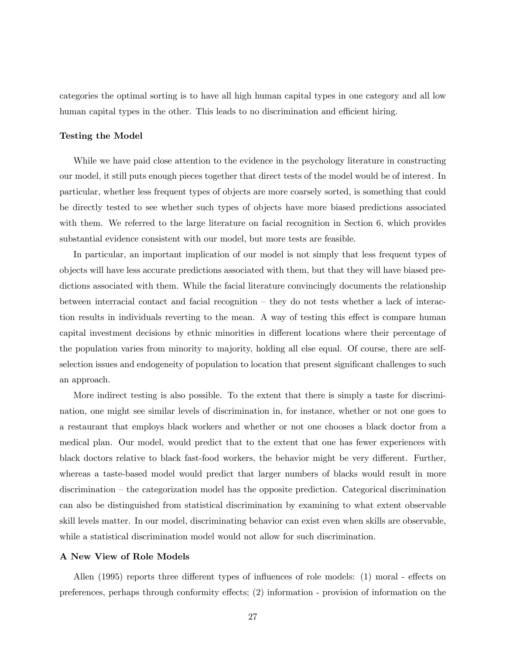categories the optimal sorting is to have all high human capital types in one category and all low human capital types in the other. This leads to no discrimination and efficient hiring.

#### Testing the Model

While we have paid close attention to the evidence in the psychology literature in constructing our model, it still puts enough pieces together that direct tests of the model would be of interest. In particular, whether less frequent types of objects are more coarsely sorted, is something that could be directly tested to see whether such types of objects have more biased predictions associated with them. We referred to the large literature on facial recognition in Section 6, which provides substantial evidence consistent with our model, but more tests are feasible.

In particular, an important implication of our model is not simply that less frequent types of objects will have less accurate predictions associated with them, but that they will have biased predictions associated with them. While the facial literature convincingly documents the relationship between interracial contact and facial recognition — they do not tests whether a lack of interaction results in individuals reverting to the mean. A way of testing this effect is compare human capital investment decisions by ethnic minorities in different locations where their percentage of the population varies from minority to majority, holding all else equal. Of course, there are selfselection issues and endogeneity of population to location that present significant challenges to such an approach.

More indirect testing is also possible. To the extent that there is simply a taste for discrimination, one might see similar levels of discrimination in, for instance, whether or not one goes to a restaurant that employs black workers and whether or not one chooses a black doctor from a medical plan. Our model, would predict that to the extent that one has fewer experiences with black doctors relative to black fast-food workers, the behavior might be very different. Further, whereas a taste-based model would predict that larger numbers of blacks would result in more discrimination — the categorization model has the opposite prediction. Categorical discrimination can also be distinguished from statistical discrimination by examining to what extent observable skill levels matter. In our model, discriminating behavior can exist even when skills are observable, while a statistical discrimination model would not allow for such discrimination.

#### A New View of Role Models

Allen (1995) reports three different types of influences of role models: (1) moral - effects on preferences, perhaps through conformity effects; (2) information - provision of information on the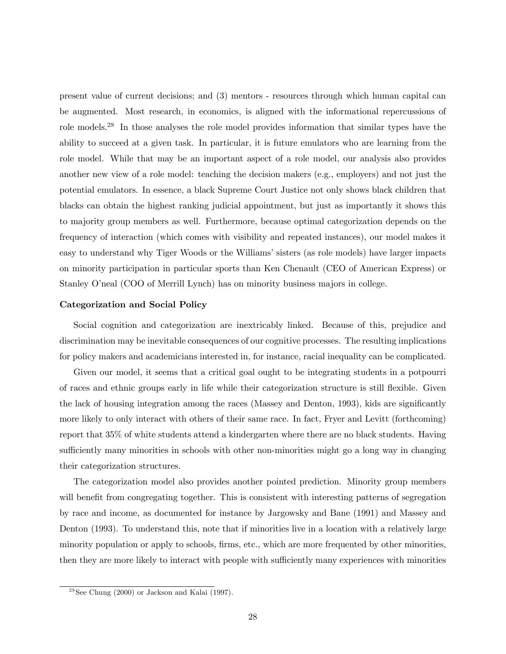present value of current decisions; and (3) mentors - resources through which human capital can be augmented. Most research, in economics, is aligned with the informational repercussions of role models.28 In those analyses the role model provides information that similar types have the ability to succeed at a given task. In particular, it is future emulators who are learning from the role model. While that may be an important aspect of a role model, our analysis also provides another new view of a role model: teaching the decision makers (e.g., employers) and not just the potential emulators. In essence, a black Supreme Court Justice not only shows black children that blacks can obtain the highest ranking judicial appointment, but just as importantly it shows this to majority group members as well. Furthermore, because optimal categorization depends on the frequency of interaction (which comes with visibility and repeated instances), our model makes it easy to understand why Tiger Woods or the Williams' sisters (as role models) have larger impacts on minority participation in particular sports than Ken Chenault (CEO of American Express) or Stanley O'neal (COO of Merrill Lynch) has on minority business majors in college.

## Categorization and Social Policy

Social cognition and categorization are inextricably linked. Because of this, prejudice and discrimination may be inevitable consequences of our cognitive processes. The resulting implications for policy makers and academicians interested in, for instance, racial inequality can be complicated.

Given our model, it seems that a critical goal ought to be integrating students in a potpourri of races and ethnic groups early in life while their categorization structure is still flexible. Given the lack of housing integration among the races (Massey and Denton, 1993), kids are significantly more likely to only interact with others of their same race. In fact, Fryer and Levitt (forthcoming) report that 35% of white students attend a kindergarten where there are no black students. Having sufficiently many minorities in schools with other non-minorities might go a long way in changing their categorization structures.

The categorization model also provides another pointed prediction. Minority group members will benefit from congregating together. This is consistent with interesting patterns of segregation by race and income, as documented for instance by Jargowsky and Bane (1991) and Massey and Denton (1993). To understand this, note that if minorities live in a location with a relatively large minority population or apply to schools, firms, etc., which are more frequented by other minorities, then they are more likely to interact with people with sufficiently many experiences with minorities

 $2^8$ See Chung (2000) or Jackson and Kalai (1997).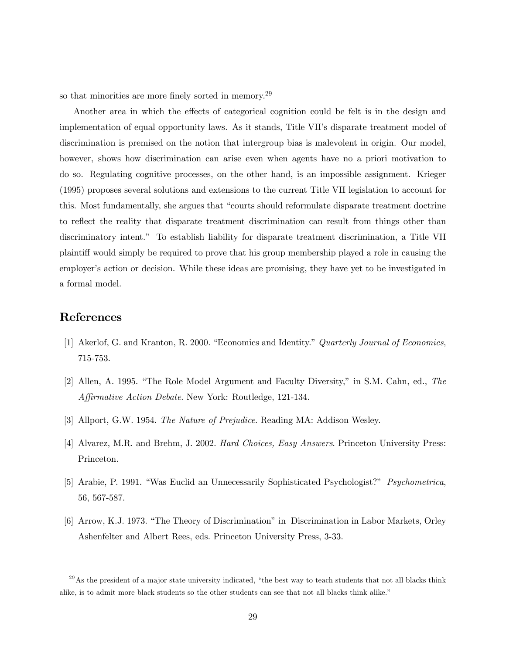so that minorities are more finely sorted in memory.<sup>29</sup>

Another area in which the effects of categorical cognition could be felt is in the design and implementation of equal opportunity laws. As it stands, Title VII's disparate treatment model of discrimination is premised on the notion that intergroup bias is malevolent in origin. Our model, however, shows how discrimination can arise even when agents have no a priori motivation to do so. Regulating cognitive processes, on the other hand, is an impossible assignment. Krieger (1995) proposes several solutions and extensions to the current Title VII legislation to account for this. Most fundamentally, she argues that "courts should reformulate disparate treatment doctrine to reflect the reality that disparate treatment discrimination can result from things other than discriminatory intent." To establish liability for disparate treatment discrimination, a Title VII plaintiff would simply be required to prove that his group membership played a role in causing the employer's action or decision. While these ideas are promising, they have yet to be investigated in a formal model.

# References

- [1] Akerlof, G. and Kranton, R. 2000. "Economics and Identity." Quarterly Journal of Economics, 715-753.
- [2] Allen, A. 1995. "The Role Model Argument and Faculty Diversity," in S.M. Cahn, ed., The Affirmative Action Debate. New York: Routledge, 121-134.
- [3] Allport, G.W. 1954. The Nature of Prejudice. Reading MA: Addison Wesley.
- [4] Alvarez, M.R. and Brehm, J. 2002. Hard Choices, Easy Answers. Princeton University Press: Princeton.
- [5] Arabie, P. 1991. "Was Euclid an Unnecessarily Sophisticated Psychologist?" Psychometrica, 56, 567-587.
- [6] Arrow, K.J. 1973. "The Theory of Discrimination" in Discrimination in Labor Markets, Orley Ashenfelter and Albert Rees, eds. Princeton University Press, 3-33.

 $^{29}$ As the president of a major state university indicated, "the best way to teach students that not all blacks think alike, is to admit more black students so the other students can see that not all blacks think alike."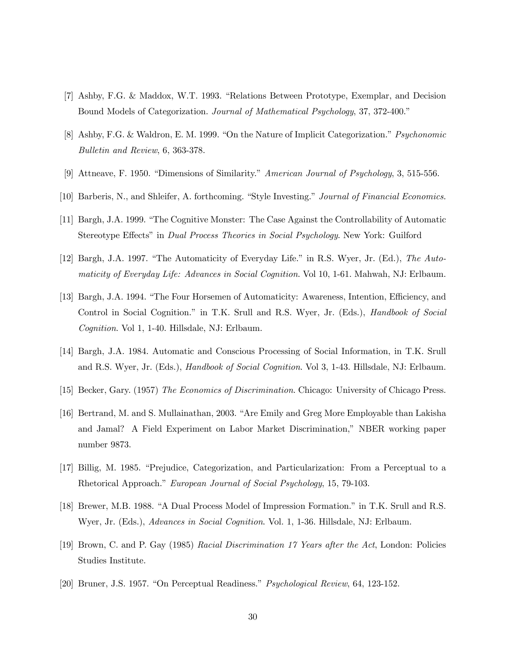- [7] Ashby, F.G. & Maddox, W.T. 1993. "Relations Between Prototype, Exemplar, and Decision Bound Models of Categorization. Journal of Mathematical Psychology, 37, 372-400."
- [8] Ashby, F.G. & Waldron, E. M. 1999. "On the Nature of Implicit Categorization." Psychonomic Bulletin and Review, 6, 363-378.
- [9] Attneave, F. 1950. "Dimensions of Similarity." American Journal of Psychology, 3, 515-556.
- [10] Barberis, N., and Shleifer, A. forthcoming. "Style Investing." Journal of Financial Economics.
- [11] Bargh, J.A. 1999. "The Cognitive Monster: The Case Against the Controllability of Automatic Stereotype Effects" in Dual Process Theories in Social Psychology. New York: Guilford
- [12] Bargh, J.A. 1997. "The Automaticity of Everyday Life." in R.S. Wyer, Jr. (Ed.), The Automaticity of Everyday Life: Advances in Social Cognition. Vol 10, 1-61. Mahwah, NJ: Erlbaum.
- [13] Bargh, J.A. 1994. "The Four Horsemen of Automaticity: Awareness, Intention, Efficiency, and Control in Social Cognition." in T.K. Srull and R.S. Wyer, Jr. (Eds.), *Handbook of Social* Cognition. Vol 1, 1-40. Hillsdale, NJ: Erlbaum.
- [14] Bargh, J.A. 1984. Automatic and Conscious Processing of Social Information, in T.K. Srull and R.S. Wyer, Jr. (Eds.), *Handbook of Social Cognition*. Vol 3, 1-43. Hillsdale, NJ: Erlbaum.
- [15] Becker, Gary. (1957) The Economics of Discrimination. Chicago: University of Chicago Press.
- [16] Bertrand, M. and S. Mullainathan, 2003. "Are Emily and Greg More Employable than Lakisha and Jamal? A Field Experiment on Labor Market Discrimination," NBER working paper number 9873.
- [17] Billig, M. 1985. "Prejudice, Categorization, and Particularization: From a Perceptual to a Rhetorical Approach." European Journal of Social Psychology, 15, 79-103.
- [18] Brewer, M.B. 1988. "A Dual Process Model of Impression Formation." in T.K. Srull and R.S. Wyer, Jr. (Eds.), Advances in Social Cognition. Vol. 1, 1-36. Hillsdale, NJ: Erlbaum.
- [19] Brown, C. and P. Gay (1985) Racial Discrimination 17 Years after the Act, London: Policies Studies Institute.
- [20] Bruner, J.S. 1957. "On Perceptual Readiness." Psychological Review, 64, 123-152.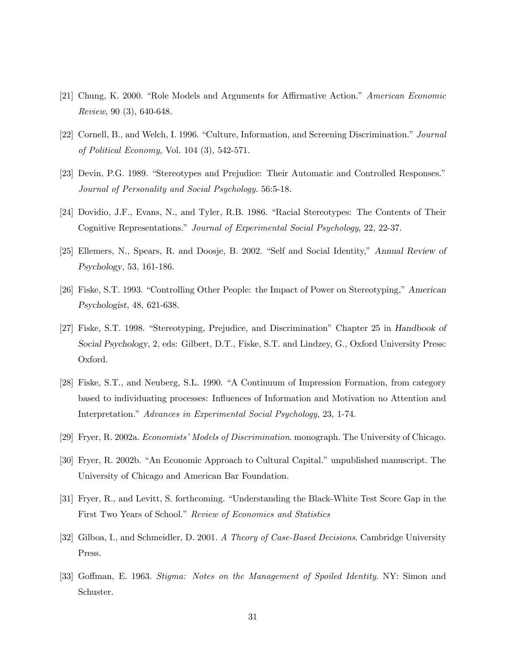- [21] Chung, K. 2000. "Role Models and Arguments for Affirmative Action." American Economic Review, 90 (3), 640-648.
- [22] Cornell, B., and Welch, I. 1996. "Culture, Information, and Screening Discrimination." Journal of Political Economy, Vol. 104 (3), 542-571.
- [23] Devin, P.G. 1989. "Stereotypes and Prejudice: Their Automatic and Controlled Responses." Journal of Personality and Social Psychology. 56:5-18.
- [24] Dovidio, J.F., Evans, N., and Tyler, R.B. 1986. "Racial Stereotypes: The Contents of Their Cognitive Representations." Journal of Experimental Social Psychology, 22, 22-37.
- [25] Ellemers, N., Spears, R. and Doosje, B. 2002. "Self and Social Identity," Annual Review of Psychology, 53, 161-186.
- [26] Fiske, S.T. 1993. "Controlling Other People: the Impact of Power on Stereotyping," American Psychologist, 48, 621-638.
- [27] Fiske, S.T. 1998. "Stereotyping, Prejudice, and Discrimination" Chapter 25 in Handbook of Social Psychology, 2, eds: Gilbert, D.T., Fiske, S.T. and Lindzey, G., Oxford University Press: Oxford.
- [28] Fiske, S.T., and Neuberg, S.L. 1990. "A Continuum of Impression Formation, from category based to individuating processes: Influences of Information and Motivation no Attention and Interpretation." Advances in Experimental Social Psychology, 23, 1-74.
- [29] Fryer, R. 2002a. Economists' Models of Discrimination. monograph. The University of Chicago.
- [30] Fryer, R. 2002b. "An Economic Approach to Cultural Capital." unpublished manuscript. The University of Chicago and American Bar Foundation.
- [31] Fryer, R., and Levitt, S. forthcoming. "Understanding the Black-White Test Score Gap in the First Two Years of School." Review of Economics and Statistics
- [32] Gilboa, I., and Schmeidler, D. 2001. A Theory of Case-Based Decisions. Cambridge University Press.
- [33] Goffman, E. 1963. Stigma: Notes on the Management of Spoiled Identity. NY: Simon and Schuster.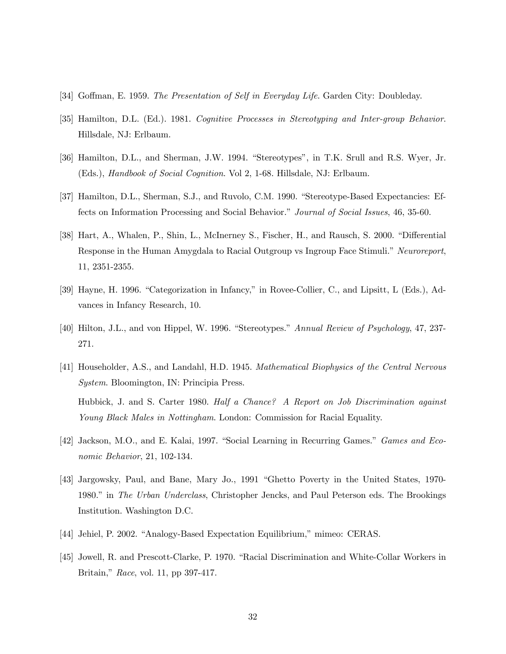- [34] Goffman, E. 1959. The Presentation of Self in Everyday Life. Garden City: Doubleday.
- [35] Hamilton, D.L. (Ed.). 1981. Cognitive Processes in Stereotyping and Inter-group Behavior. Hillsdale, NJ: Erlbaum.
- [36] Hamilton, D.L., and Sherman, J.W. 1994. "Stereotypes", in T.K. Srull and R.S. Wyer, Jr. (Eds.), Handbook of Social Cognition. Vol 2, 1-68. Hillsdale, NJ: Erlbaum.
- [37] Hamilton, D.L., Sherman, S.J., and Ruvolo, C.M. 1990. "Stereotype-Based Expectancies: Effects on Information Processing and Social Behavior." Journal of Social Issues, 46, 35-60.
- [38] Hart, A., Whalen, P., Shin, L., McInerney S., Fischer, H., and Rausch, S. 2000. "Differential Response in the Human Amygdala to Racial Outgroup vs Ingroup Face Stimuli." Neuroreport, 11, 2351-2355.
- [39] Hayne, H. 1996. "Categorization in Infancy," in Rovee-Collier, C., and Lipsitt, L (Eds.), Advances in Infancy Research, 10.
- [40] Hilton, J.L., and von Hippel, W. 1996. "Stereotypes." Annual Review of Psychology, 47, 237- 271.
- [41] Householder, A.S., and Landahl, H.D. 1945. Mathematical Biophysics of the Central Nervous System. Bloomington, IN: Principia Press. Hubbick, J. and S. Carter 1980. Half a Chance? A Report on Job Discrimination against Young Black Males in Nottingham. London: Commission for Racial Equality.
- [42] Jackson, M.O., and E. Kalai, 1997. "Social Learning in Recurring Games." Games and Economic Behavior, 21, 102-134.
- [43] Jargowsky, Paul, and Bane, Mary Jo., 1991 "Ghetto Poverty in the United States, 1970- 1980." in The Urban Underclass, Christopher Jencks, and Paul Peterson eds. The Brookings Institution. Washington D.C.
- [44] Jehiel, P. 2002. "Analogy-Based Expectation Equilibrium," mimeo: CERAS.
- [45] Jowell, R. and Prescott-Clarke, P. 1970. "Racial Discrimination and White-Collar Workers in Britain," Race, vol. 11, pp 397-417.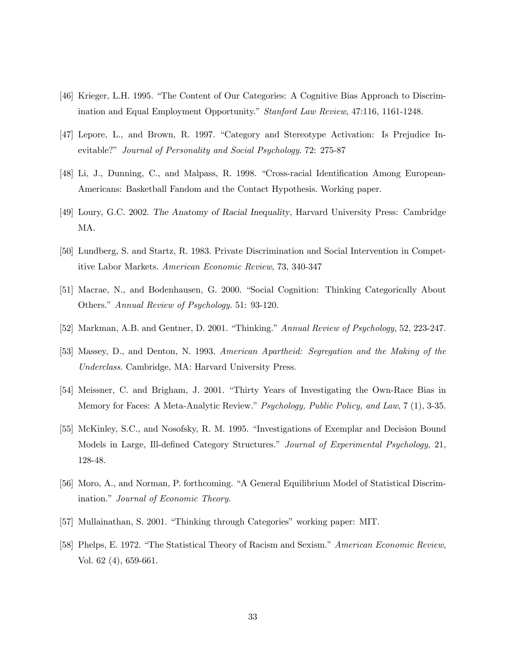- [46] Krieger, L.H. 1995. "The Content of Our Categories: A Cognitive Bias Approach to Discrimination and Equal Employment Opportunity." Stanford Law Review, 47:116, 1161-1248.
- [47] Lepore, L., and Brown, R. 1997. "Category and Stereotype Activation: Is Prejudice Inevitable?" Journal of Personality and Social Psychology. 72: 275-87
- [48] Li, J., Dunning, C., and Malpass, R. 1998. "Cross-racial Identification Among European-Americans: Basketball Fandom and the Contact Hypothesis. Working paper.
- [49] Loury, G.C. 2002. The Anatomy of Racial Inequality, Harvard University Press: Cambridge MA.
- [50] Lundberg, S. and Startz, R. 1983. Private Discrimination and Social Intervention in Competitive Labor Markets. American Economic Review, 73, 340-347
- [51] Macrae, N., and Bodenhausen, G. 2000. "Social Cognition: Thinking Categorically About Others." Annual Review of Psychology. 51: 93-120.
- [52] Markman, A.B. and Gentner, D. 2001. "Thinking." Annual Review of Psychology, 52, 223-247.
- [53] Massey, D., and Denton, N. 1993. American Apartheid: Segregation and the Making of the Underclass. Cambridge, MA: Harvard University Press.
- [54] Meissner, C. and Brigham, J. 2001. "Thirty Years of Investigating the Own-Race Bias in Memory for Faces: A Meta-Analytic Review." Psychology, Public Policy, and Law, 7 (1), 3-35.
- [55] McKinley, S.C., and Nosofsky, R. M. 1995. "Investigations of Exemplar and Decision Bound Models in Large, Ill-defined Category Structures." Journal of Experimental Psychology, 21, 128-48.
- [56] Moro, A., and Norman, P. forthcoming. "A General Equilibrium Model of Statistical Discrimination." Journal of Economic Theory.
- [57] Mullainathan, S. 2001. "Thinking through Categories" working paper: MIT.
- [58] Phelps, E. 1972. "The Statistical Theory of Racism and Sexism." American Economic Review, Vol. 62 (4), 659-661.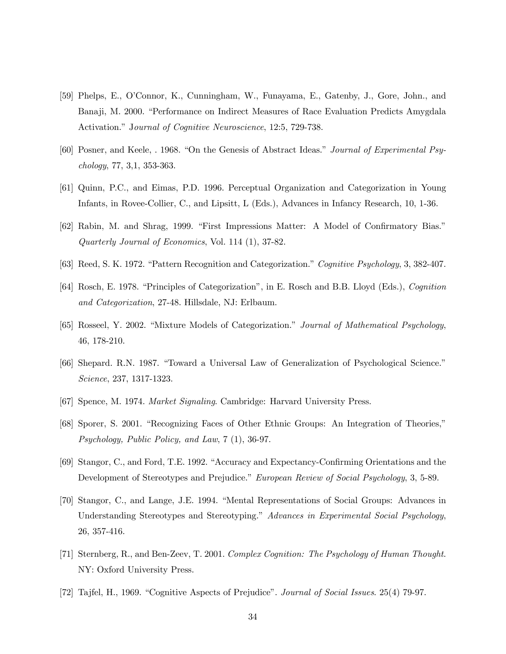- [59] Phelps, E., O'Connor, K., Cunningham, W., Funayama, E., Gatenby, J., Gore, John., and Banaji, M. 2000. "Performance on Indirect Measures of Race Evaluation Predicts Amygdala Activation." Journal of Cognitive Neuroscience, 12:5, 729-738.
- [60] Posner, and Keele, . 1968. "On the Genesis of Abstract Ideas." Journal of Experimental Psychology, 77, 3,1, 353-363.
- [61] Quinn, P.C., and Eimas, P.D. 1996. Perceptual Organization and Categorization in Young Infants, in Rovee-Collier, C., and Lipsitt, L (Eds.), Advances in Infancy Research, 10, 1-36.
- [62] Rabin, M. and Shrag, 1999. "First Impressions Matter: A Model of Confirmatory Bias." Quarterly Journal of Economics, Vol. 114 (1), 37-82.
- [63] Reed, S. K. 1972. "Pattern Recognition and Categorization." Cognitive Psychology, 3, 382-407.
- [64] Rosch, E. 1978. "Principles of Categorization", in E. Rosch and B.B. Lloyd (Eds.), Cognition and Categorization, 27-48. Hillsdale, NJ: Erlbaum.
- [65] Rosseel, Y. 2002. "Mixture Models of Categorization." Journal of Mathematical Psychology, 46, 178-210.
- [66] Shepard. R.N. 1987. "Toward a Universal Law of Generalization of Psychological Science." Science, 237, 1317-1323.
- [67] Spence, M. 1974. Market Signaling. Cambridge: Harvard University Press.
- [68] Sporer, S. 2001. "Recognizing Faces of Other Ethnic Groups: An Integration of Theories," Psychology, Public Policy, and Law, 7 (1), 36-97.
- [69] Stangor, C., and Ford, T.E. 1992. "Accuracy and Expectancy-Confirming Orientations and the Development of Stereotypes and Prejudice." European Review of Social Psychology, 3, 5-89.
- [70] Stangor, C., and Lange, J.E. 1994. "Mental Representations of Social Groups: Advances in Understanding Stereotypes and Stereotyping." Advances in Experimental Social Psychology, 26, 357-416.
- [71] Sternberg, R., and Ben-Zeev, T. 2001. Complex Cognition: The Psychology of Human Thought. NY: Oxford University Press.
- [72] Tajfel, H., 1969. "Cognitive Aspects of Prejudice". Journal of Social Issues. 25(4) 79-97.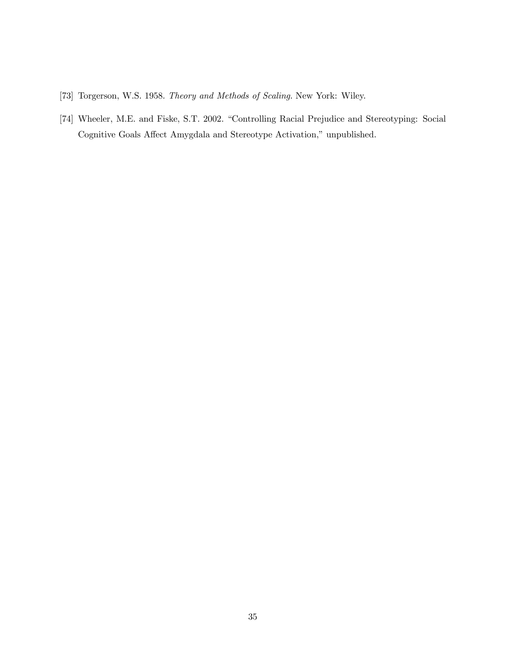- [73] Torgerson, W.S. 1958. Theory and Methods of Scaling. New York: Wiley.
- [74] Wheeler, M.E. and Fiske, S.T. 2002. "Controlling Racial Prejudice and Stereotyping: Social Cognitive Goals Affect Amygdala and Stereotype Activation," unpublished.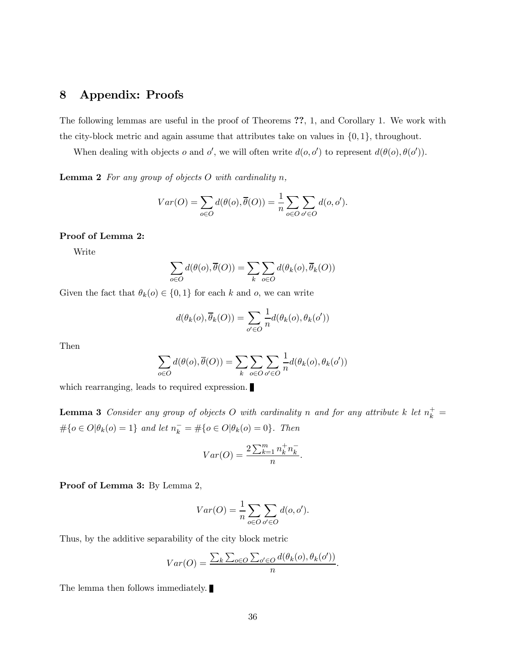# 8 Appendix: Proofs

The following lemmas are useful in the proof of Theorems ??, 1, and Corollary 1. We work with the city-block metric and again assume that attributes take on values in  $\{0, 1\}$ , throughout.

When dealing with objects o and o', we will often write  $d(o, o')$  to represent  $d(\theta(o), \theta(o'))$ .

**Lemma 2** For any group of objects  $O$  with cardinality  $n$ ,

$$
Var(O) = \sum_{o \in O} d(\theta(o), \overline{\theta}(O)) = \frac{1}{n} \sum_{o \in O} \sum_{o' \in O} d(o, o').
$$

## Proof of Lemma 2:

Write

$$
\sum_{o\in O}d(\theta(o),\overline{\theta}(O))=\sum_k\sum_{o\in O}d(\theta_k(o),\overline{\theta}_k(O))
$$

Given the fact that  $\theta_k(o) \in \{0,1\}$  for each k and o, we can write

$$
d(\theta_k(o), \overline{\theta}_k(O)) = \sum_{o' \in O} \frac{1}{n} d(\theta_k(o), \theta_k(o'))
$$

Then

$$
\sum_{o \in O} d(\theta(o), \overline{\theta}(O)) = \sum_{k} \sum_{o \in O} \sum_{o' \in O} \frac{1}{n} d(\theta_k(o), \theta_k(o'))
$$

which rearranging, leads to required expression.

**Lemma 3** Consider any group of objects O with cardinality n and for any attribute k let  $n_k^+$  =  $#{o ∈ O | θ<sub>k</sub>(o) = 1}$  and let  $n<sub>k</sub><sup>-</sup> = #{o ∈ O | θ<sub>k</sub>(o) = 0}.$  Then

$$
Var(O) = \frac{2\sum_{k=1}^{m} n_k^+ n_k^-}{n}.
$$

Proof of Lemma 3: By Lemma 2,

$$
Var(O) = \frac{1}{n} \sum_{o \in O} \sum_{o' \in O} d(o, o').
$$

Thus, by the additive separability of the city block metric

$$
Var(O) = \frac{\sum_{k} \sum_{o \in O} \sum_{o' \in O} d(\theta_k(o), \theta_k(o'))}{n}.
$$

The lemma then follows immediately.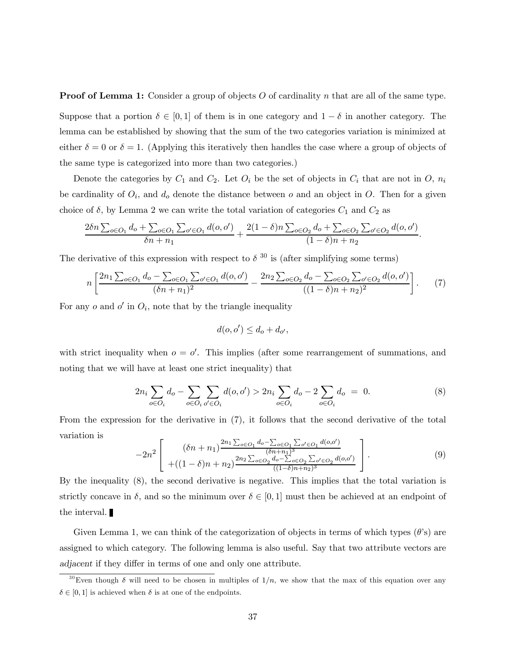**Proof of Lemma 1:** Consider a group of objects  $O$  of cardinality n that are all of the same type. Suppose that a portion  $\delta \in [0,1]$  of them is in one category and  $1-\delta$  in another category. The lemma can be established by showing that the sum of the two categories variation is minimized at either  $\delta = 0$  or  $\delta = 1$ . (Applying this iteratively then handles the case where a group of objects of the same type is categorized into more than two categories.)

Denote the categories by  $C_1$  and  $C_2$ . Let  $O_i$  be the set of objects in  $C_i$  that are not in  $O$ ,  $n_i$ be cardinality of  $O_i$ , and  $d_o$  denote the distance between  $o$  and an object in  $O$ . Then for a given choice of  $\delta$ , by Lemma 2 we can write the total variation of categories  $C_1$  and  $C_2$  as

$$
\frac{2\delta n \sum_{o \in O_1} d_o + \sum_{o \in O_1} \sum_{o' \in O_1} d(o, o')}{\delta n + n_1} + \frac{2(1 - \delta)n \sum_{o \in O_2} d_o + \sum_{o \in O_2} \sum_{o' \in O_2} d(o, o')}{(1 - \delta)n + n_2}.
$$

The derivative of this expression with respect to  $\delta^{30}$  is (after simplifying some terms)

$$
n\left[\frac{2n_1\sum_{o\in O_1}d_o - \sum_{o\in O_1}\sum_{o'\in O_1}d(o,o')}{(\delta n + n_1)^2} - \frac{2n_2\sum_{o\in O_2}d_o - \sum_{o\in O_2}\sum_{o'\in O_2}d(o,o')}{((1 - \delta)n + n_2)^2}\right].
$$
 (7)

For any o and  $o'$  in  $O_i$ , note that by the triangle inequality

$$
d(o, o') \le d_o + d_{o'},
$$

with strict inequality when  $o = o'$ . This implies (after some rearrangement of summations, and noting that we will have at least one strict inequality) that

$$
2n_i \sum_{o \in O_i} d_o - \sum_{o \in O_i} \sum_{o' \in O_i} d(o, o') > 2n_i \sum_{o \in O_i} d_o - 2 \sum_{o \in O_i} d_o = 0. \tag{8}
$$

From the expression for the derivative in (7), it follows that the second derivative of the total variation is

$$
-2n^2 \left[ \begin{array}{c} (\delta n + n_1) \frac{2n_1 \sum_{o \in O_1} d_o - \sum_{o \in O_1} \sum_{o' \in O_1} d(o,o')}{(\delta n + n_1)^3} \\ + ((1 - \delta)n + n_2) \frac{2n_2 \sum_{o \in O_2} d_o - \sum_{o \in O_2} \sum_{o' \in O_2} d(o,o')}{((1 - \delta)n + n_2)^3} \end{array} \right].
$$
 (9)

By the inequality (8), the second derivative is negative. This implies that the total variation is strictly concave in  $\delta$ , and so the minimum over  $\delta \in [0,1]$  must then be achieved at an endpoint of the interval.

Given Lemma 1, we can think of the categorization of objects in terms of which types  $(\theta)$ 's) are assigned to which category. The following lemma is also useful. Say that two attribute vectors are adjacent if they differ in terms of one and only one attribute.

<sup>&</sup>lt;sup>30</sup>Even though  $\delta$  will need to be chosen in multiples of  $1/n$ , we show that the max of this equation over any  $\delta \in [0, 1]$  is achieved when  $\delta$  is at one of the endpoints.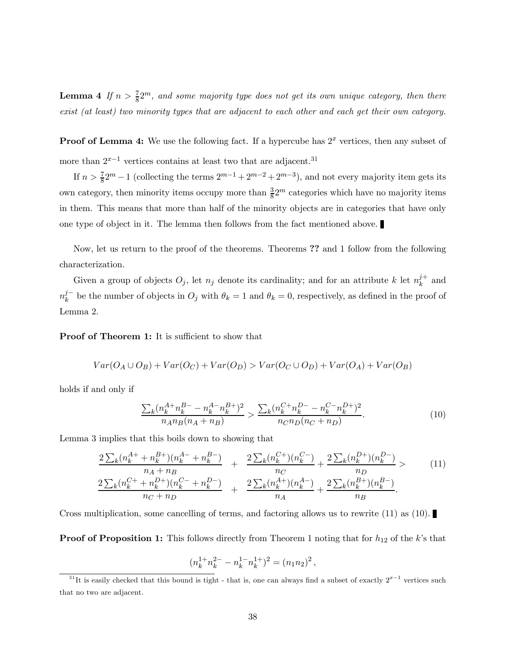**Lemma 4** If  $n > \frac{7}{8}2^m$ , and some majority type does not get its own unique category, then there exist (at least) two minority types that are adjacent to each other and each get their own category.

**Proof of Lemma 4:** We use the following fact. If a hypercube has  $2<sup>x</sup>$  vertices, then any subset of more than  $2^{x-1}$  vertices contains at least two that are adjacent.<sup>31</sup>

If  $n > \frac{7}{8}2^m - 1$  (collecting the terms  $2^{m-1} + 2^{m-2} + 2^{m-3}$ ), and not every majority item gets its own category, then minority items occupy more than  $\frac{3}{8}2^m$  categories which have no majority items in them. This means that more than half of the minority objects are in categories that have only one type of object in it. The lemma then follows from the fact mentioned above.

Now, let us return to the proof of the theorems. Theorems ?? and 1 follow from the following characterization.

Given a group of objects  $O_j$ , let  $n_j$  denote its cardinality; and for an attribute k let  $n_k^{j+}$  and  $n_k^{j-}$  be the number of objects in  $O_j$  with  $\theta_k = 1$  and  $\theta_k = 0$ , respectively, as defined in the proof of Lemma 2.

Proof of Theorem 1: It is sufficient to show that

$$
Var(O_A \cup O_B) + Var(O_C) + Var(O_D) > Var(O_C \cup O_D) + Var(O_A) + Var(O_B)
$$

holds if and only if

$$
\frac{\sum_{k} (n_k^{A+} n_k^{B-} - n_k^{A-} n_k^{B+})^2}{n_A n_B (n_A + n_B)} > \frac{\sum_{k} (n_k^{C+} n_k^{D-} - n_k^{C-} n_k^{D+})^2}{n_C n_D (n_C + n_D)}.\tag{10}
$$

Lemma 3 implies that this boils down to showing that

$$
\frac{2\sum_{k}(n_{k}^{A+}+n_{k}^{B+})(n_{k}^{A-}+n_{k}^{B-})}{n_{A}+n_{B}} + \frac{2\sum_{k}(n_{k}^{C+})(n_{k}^{C-})}{n_{C}} + \frac{2\sum_{k}(n_{k}^{D+})(n_{k}^{D-})}{n_{D}} > \frac{2\sum_{k}(n_{k}^{C+}+n_{k}^{D+})(n_{k}^{C-}+n_{k}^{D-})}{n_{C}+n_{D}} + \frac{2\sum_{k}(n_{k}^{A+})(n_{k}^{A-})}{n_{A}} + \frac{2\sum_{k}(n_{k}^{B+})(n_{k}^{B-})}{n_{B}}.
$$
\n(11)

Cross multiplication, some cancelling of terms, and factoring allows us to rewrite (11) as (10).

**Proof of Proposition 1:** This follows directly from Theorem 1 noting that for  $h_{12}$  of the k's that

$$
(n_k^{1+} n_k^{2-} - n_k^{1-} n_k^{1+})^2 = (n_1 n_2)^2,
$$

<sup>&</sup>lt;sup>31</sup>It is easily checked that this bound is tight - that is, one can always find a subset of exactly  $2^{x-1}$  vertices such that no two are adjacent.